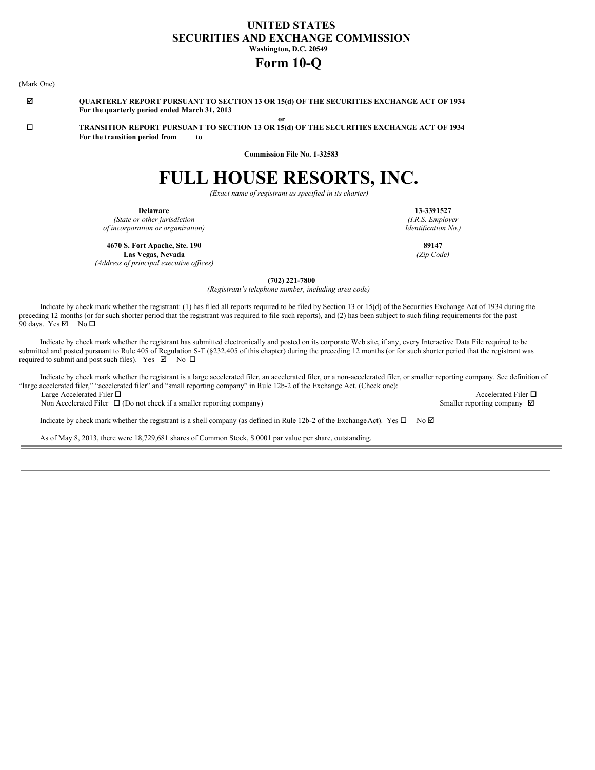# **UNITED STATES SECURITIES AND EXCHANGE COMMISSION Washington, D.C. 20549**

# **Form 10-Q**

(Mark One)

þ **QUARTERLY REPORT PURSUANT TO SECTION 13 OR 15(d) OF THE SECURITIES EXCHANGE ACT OF 1934 For the quarterly period ended March 31, 2013**

**or** o **TRANSITION REPORT PURSUANT TO SECTION 13 OR 15(d) OF THE SECURITIES EXCHANGE ACT OF 1934 For the transition period from to**

**Commission File No. 1-32583**

# **FULL HOUSE RESORTS, INC.**

*(Exact name of registrant as specified in its charter)*

**Delaware**

*(State or other jurisdiction of incorporation or organization)*

**4670 S. Fort Apache, Ste. 190 Las Vegas, Nevada**

*(Address of principal executive of ices)*

**(702) 221-7800**

*(Registrant's telephone number, including area code)*

Indicate by check mark whether the registrant: (1) has filed all reports required to be filed by Section 13 or 15(d) of the Securities Exchange Act of 1934 during the preceding 12 months (or for such shorter period that the registrant was required to file such reports), and (2) has been subject to such filing requirements for the past 90 days. Yes  $\boxtimes$  No  $\square$ 

Indicate by check mark whether the registrant has submitted electronically and posted on its corporate Web site, if any, every Interactive Data File required to be submitted and posted pursuant to Rule 405 of Regulation S-T (§232.405 of this chapter) during the preceding 12 months (or for such shorter period that the registrant was required to submit and post such files). Yes  $\boxtimes$  No  $\square$ 

Indicate by check mark whether the registrant is a large accelerated filer, an accelerated filer, or a non-accelerated filer, or smaller reporting company. See definition of "large accelerated filer," "accelerated filer" and "small reporting company" in Rule 12b-2 of the Exchange Act. (Check one): Large Accelerated Filer  $\square$ <br>
Non Accelerated Filer  $\square$  (Do not check if a smaller reporting company) Smaller reporting company  $\square$ 

Non Accelerated Filer  $\Box$  (Do not check if a smaller reporting company)

Indicate by check mark whether the registrant is a shell company (as defined in Rule 12b-2 of the ExchangeAct). Yes  $\Box$  No  $\Box$ 

As of May 8, 2013, there were 18,729,681 shares of Common Stock, \$.0001 par value per share, outstanding.

**13-3391527** *(I.R.S. Employer Identification No.)*

> **89147** *(Zip Code)*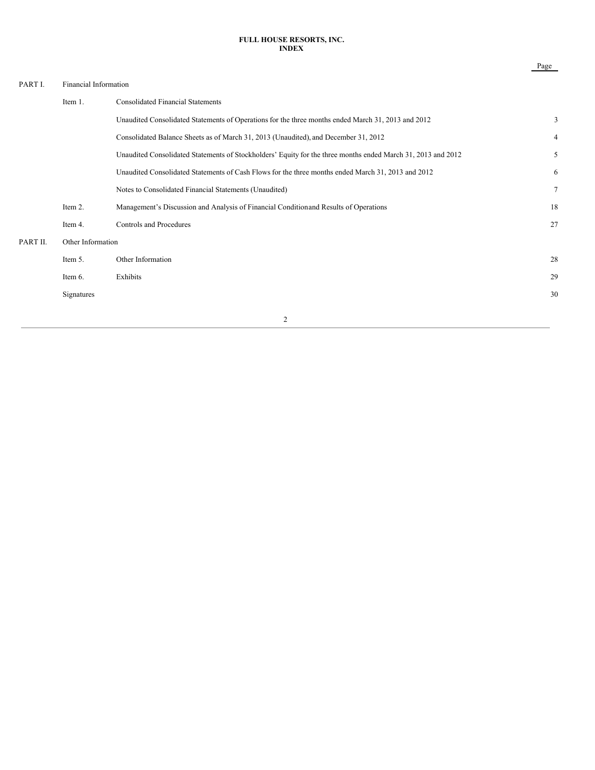## **FULL HOUSE RESORTS, INC. INDEX**

## PART I. Financial Information

|          | Item 1.           | <b>Consolidated Financial Statements</b>                                                                     |        |
|----------|-------------------|--------------------------------------------------------------------------------------------------------------|--------|
|          |                   | Unaudited Consolidated Statements of Operations for the three months ended March 31, 2013 and 2012           | 3      |
|          |                   | Consolidated Balance Sheets as of March 31, 2013 (Unaudited), and December 31, 2012                          | 4      |
|          |                   | Unaudited Consolidated Statements of Stockholders' Equity for the three months ended March 31, 2013 and 2012 | 5      |
|          |                   | Unaudited Consolidated Statements of Cash Flows for the three months ended March 31, 2013 and 2012           | 6      |
|          |                   | Notes to Consolidated Financial Statements (Unaudited)                                                       | $\tau$ |
|          | Item 2.           | Management's Discussion and Analysis of Financial Conditionand Results of Operations                         | 18     |
|          | Item 4.           | Controls and Procedures                                                                                      | 27     |
| PART II. | Other Information |                                                                                                              |        |
|          | Item 5.           | Other Information                                                                                            | 28     |
|          | Item 6.           | Exhibits                                                                                                     | 29     |
|          | Signatures        |                                                                                                              | 30     |
|          |                   |                                                                                                              |        |

Page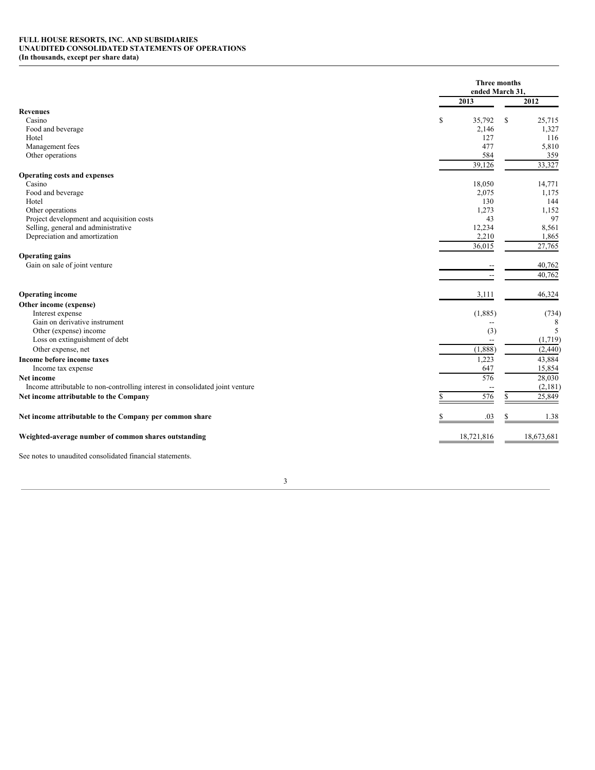## **FULL HOUSE RESORTS, INC. AND SUBSIDIARIES UNAUDITED CONSOLIDATED STATEMENTS OF OPERATIONS (In thousands, except per share data)**

|                                                                               |                          | <b>Three months</b><br>ended March 31, |
|-------------------------------------------------------------------------------|--------------------------|----------------------------------------|
|                                                                               | 2013                     | 2012                                   |
| <b>Revenues</b>                                                               |                          |                                        |
| Casino                                                                        | \$<br>35,792             | \$<br>25,715                           |
| Food and beverage                                                             | 2,146                    | 1,327                                  |
| Hotel                                                                         | 127<br>477               | 116                                    |
| Management fees<br>Other operations                                           | 584                      | 5,810<br>359                           |
|                                                                               | 39,126                   | 33,327                                 |
| Operating costs and expenses                                                  |                          |                                        |
| Casino                                                                        | 18,050                   | 14,771                                 |
| Food and beverage                                                             | 2,075                    | 1,175                                  |
| Hotel                                                                         | 130                      | 144                                    |
| Other operations                                                              | 1,273                    | 1,152                                  |
| Project development and acquisition costs                                     | 43                       | 97                                     |
| Selling, general and administrative                                           | 12,234                   | 8,561                                  |
| Depreciation and amortization                                                 | 2,210                    | 1,865                                  |
|                                                                               | 36,015                   | 27,765                                 |
| <b>Operating gains</b>                                                        |                          |                                        |
| Gain on sale of joint venture                                                 |                          | 40,762                                 |
|                                                                               |                          | 40,762                                 |
|                                                                               |                          |                                        |
| <b>Operating income</b>                                                       | 3,111                    | 46,324                                 |
| Other income (expense)                                                        |                          |                                        |
| Interest expense                                                              | (1,885)                  | (734)                                  |
| Gain on derivative instrument                                                 | --                       | 8                                      |
| Other (expense) income                                                        | (3)                      | 5                                      |
| Loss on extinguishment of debt                                                | --                       | (1,719)                                |
| Other expense, net                                                            | (1,888)                  | (2, 440)                               |
| Income before income taxes                                                    | 1,223                    | 43,884                                 |
| Income tax expense                                                            | 647                      | 15,854                                 |
| <b>Net income</b>                                                             | 576                      | 28,030                                 |
| Income attributable to non-controlling interest in consolidated joint venture | $\overline{\phantom{a}}$ | (2,181)                                |
| Net income attributable to the Company                                        | 576                      | 25,849<br>S                            |
| Net income attributable to the Company per common share                       | .03                      | 1.38                                   |
| Weighted-average number of common shares outstanding                          | 18,721,816               | 18,673,681                             |

See notes to unaudited consolidated financial statements.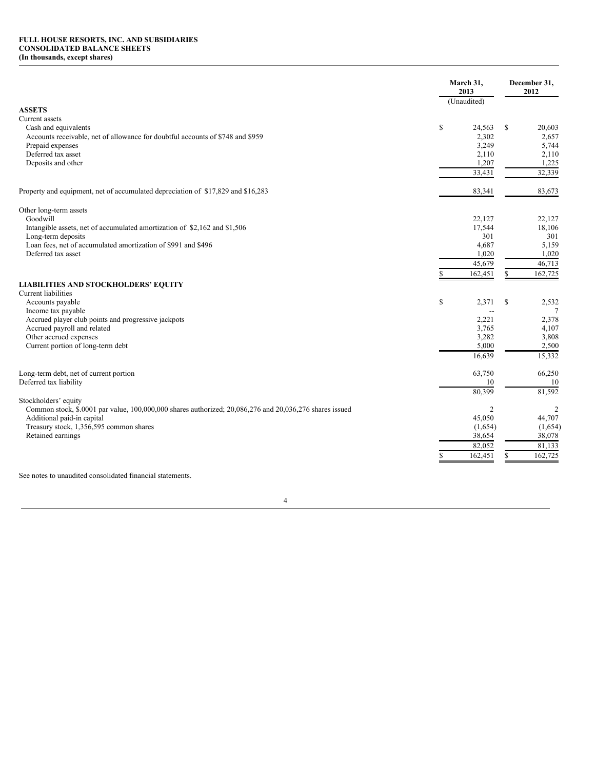|                                                                                                                                 | March 31,<br>2013 |    | December 31,<br>2012 |
|---------------------------------------------------------------------------------------------------------------------------------|-------------------|----|----------------------|
| <b>ASSETS</b>                                                                                                                   | (Unaudited)       |    |                      |
| Current assets<br>Cash and equivalents                                                                                          | \$<br>24,563      | \$ | 20,603               |
| Accounts receivable, net of allowance for doubtful accounts of \$748 and \$959                                                  | 2,302             |    | 2,657                |
| Prepaid expenses                                                                                                                | 3,249             |    | 5,744                |
| Deferred tax asset                                                                                                              | 2,110             |    | 2,110                |
| Deposits and other                                                                                                              | 1,207<br>33,431   |    | 1,225                |
|                                                                                                                                 |                   |    | 32,339               |
| Property and equipment, net of accumulated depreciation of \$17,829 and \$16,283                                                | 83,341            |    | 83,673               |
| Other long-term assets                                                                                                          |                   |    |                      |
| Goodwill                                                                                                                        | 22,127            |    | 22,127               |
| Intangible assets, net of accumulated amortization of \$2,162 and \$1,506                                                       | 17,544            |    | 18,106               |
| Long-term deposits                                                                                                              | 301               |    | 301                  |
| Loan fees, net of accumulated amortization of \$991 and \$496<br>Deferred tax asset                                             | 4,687             |    | 5,159                |
|                                                                                                                                 | 1,020<br>45,679   |    | 1,020<br>46,713      |
|                                                                                                                                 | 162,451           |    | 162,725              |
| <b>LIABILITIES AND STOCKHOLDERS' EQUITY</b>                                                                                     |                   |    |                      |
| <b>Current liabilities</b>                                                                                                      |                   |    |                      |
| Accounts payable                                                                                                                | \$<br>2,371       | \$ | 2,532                |
| Income tax payable                                                                                                              | $\overline{a}$    |    | 7                    |
| Accrued player club points and progressive jackpots                                                                             | 2,221             |    | 2,378                |
| Accrued payroll and related                                                                                                     | 3,765             |    | 4,107                |
| Other accrued expenses                                                                                                          | 3,282             |    | 3,808                |
| Current portion of long-term debt                                                                                               | 5,000             |    | 2,500<br>15,332      |
|                                                                                                                                 | 16,639            |    |                      |
| Long-term debt, net of current portion                                                                                          | 63,750            |    | 66,250               |
| Deferred tax liability                                                                                                          | 10                |    | 10                   |
|                                                                                                                                 | 80,399            |    | 81,592               |
| Stockholders' equity<br>Common stock, \$.0001 par value, 100,000,000 shares authorized; 20,086,276 and 20,036,276 shares issued | $\overline{c}$    |    | $\overline{c}$       |
| Additional paid-in capital                                                                                                      | 45,050            |    | 44,707               |
| Treasury stock, 1,356,595 common shares                                                                                         | (1,654)           |    | (1,654)              |
| Retained earnings                                                                                                               | 38,654            |    | 38,078               |
|                                                                                                                                 | 82,052            |    | 81,133               |
|                                                                                                                                 | 162,451           | S  | 162,725              |

See notes to unaudited consolidated financial statements.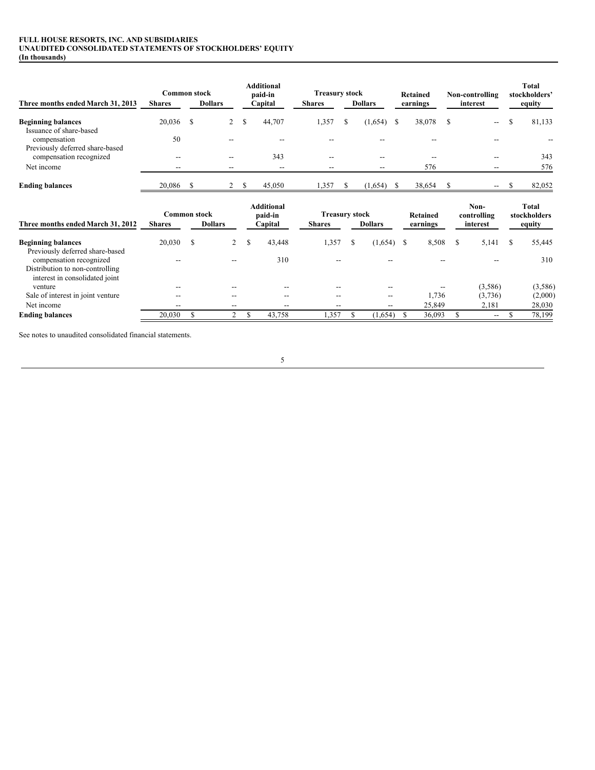## **FULL HOUSE RESORTS, INC. AND SUBSIDIARIES UNAUDITED CONSOLIDATED STATEMENTS OF STOCKHOLDERS' EQUITY (In thousands)**

|                                                      | Common stock  |   |                | Additional<br>paid-in | <b>Treasury stock</b> |                |      | <b>Retained</b> | Non-controlling                     | Total<br>stockholders' |
|------------------------------------------------------|---------------|---|----------------|-----------------------|-----------------------|----------------|------|-----------------|-------------------------------------|------------------------|
| Three months ended March 31, 2013                    | <b>Shares</b> |   | <b>Dollars</b> | Capital               | <b>Shares</b>         | <b>Dollars</b> |      | earnings        | interest                            | equity                 |
| <b>Beginning balances</b><br>Issuance of share-based | 20,036        | S | 2              | 44.707                | 1,357                 | (1,654)        | - \$ | 38,078          | $\hspace{0.05cm}$ $\hspace{0.05cm}$ | 81,133                 |
| compensation<br>Previously deferred share-based      | 50            |   |                |                       |                       |                |      |                 |                                     |                        |
| compensation recognized                              | $-$           |   | --             | 343                   | --                    |                |      |                 |                                     | 343                    |
| Net income                                           |               |   |                | $-$                   |                       |                |      | 576             | --                                  | 576                    |
| <b>Ending balances</b>                               | 20,086        |   | $\mathbf{2}$   | 45,050                | 1,357                 | (1,654)        |      | 38,654          | $\hspace{0.05cm}$                   | 82,052                 |

|                                                                                                                                 | Common stock  |   |                |   | <b>Additional</b><br>paid-in | <b>Treasury stock</b>                 |   |                | Retained | Non-<br>controlling      |   | <b>Total</b><br>stockholders |
|---------------------------------------------------------------------------------------------------------------------------------|---------------|---|----------------|---|------------------------------|---------------------------------------|---|----------------|----------|--------------------------|---|------------------------------|
| Three months ended March 31, 2012                                                                                               | <b>Shares</b> |   | <b>Dollars</b> |   | Capital                      | <b>Shares</b>                         |   | <b>Dollars</b> | earnings | interest                 |   | equity                       |
| <b>Beginning balances</b>                                                                                                       | 20,030        | S | 2              | S | 43.448                       | 1,357                                 | S | (1,654)        | 8,508    | 5,141                    | S | 55,445                       |
| Previously deferred share-based<br>compensation recognized<br>Distribution to non-controlling<br>interest in consolidated joint |               |   |                |   | 310                          |                                       |   |                |          |                          |   | 310                          |
| venture                                                                                                                         | --            |   | --             |   | $-$                          | $\hspace{0.05cm}$ – $\hspace{0.05cm}$ |   | $-$            | $- -$    | (3,586)                  |   | (3,586)                      |
| Sale of interest in joint venture                                                                                               |               |   |                |   | $-$                          | --                                    |   | $-$            | 1.736    | (3,736)                  |   | (2,000)                      |
| Net income                                                                                                                      |               |   |                |   | $- -$                        | $-$                                   |   | $- -$          | 25,849   | 2,181                    |   | 28,030                       |
| <b>Ending balances</b>                                                                                                          | 20,030        |   |                |   | 43,758                       | 1,357                                 |   | (1,654)        | 36,093   | $\overline{\phantom{a}}$ |   | 78,199                       |

See notes to unaudited consolidated financial statements.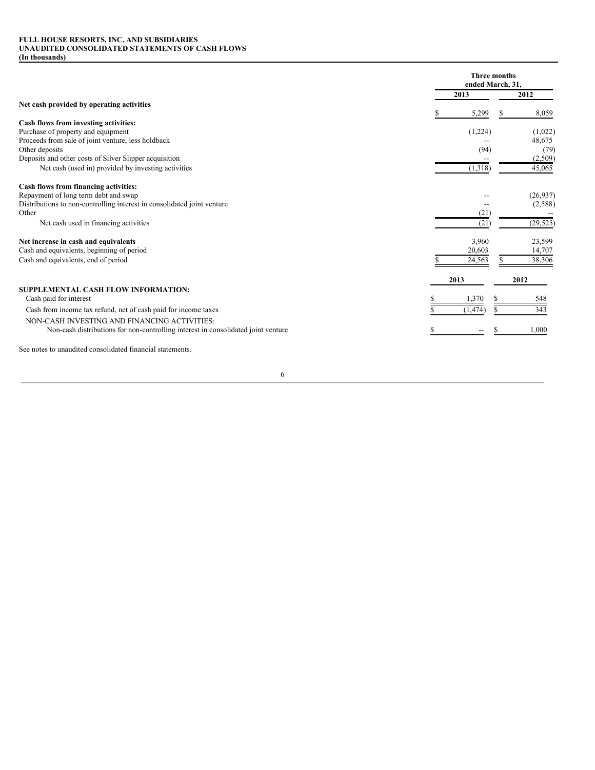## **FULL HOUSE RESORTS, INC. AND SUBSIDIARIES UNAUDITED CONSOLIDATED STATEMENTS OF CASH FLOWS (In thousands)**

|                                                                                                                                                                                                                                                                      | <b>Three months</b><br>ended March, 31, |                                                |
|----------------------------------------------------------------------------------------------------------------------------------------------------------------------------------------------------------------------------------------------------------------------|-----------------------------------------|------------------------------------------------|
|                                                                                                                                                                                                                                                                      | 2013                                    | 2012                                           |
| Net cash provided by operating activities                                                                                                                                                                                                                            | 5,299                                   | 8,059                                          |
| Cash flows from investing activities:<br>Purchase of property and equipment<br>Proceeds from sale of joint venture, less holdback<br>Other deposits<br>Deposits and other costs of Silver Slipper acquisition<br>Net cash (used in) provided by investing activities | (1,224)<br>(94)<br>(1,318)              | (1,022)<br>48,675<br>(79)<br>(2,509)<br>45,065 |
| Cash flows from financing activities:<br>Repayment of long term debt and swap<br>Distributions to non-controlling interest in consolidated joint venture<br>Other<br>Net cash used in financing activities                                                           | (21)<br>(21)                            | (26,937)<br>(2,588)<br>(29, 525)               |
| Net increase in cash and equivalents<br>Cash and equivalents, beginning of period<br>Cash and equivalents, end of period                                                                                                                                             | 3,960<br>20,603<br>24,563               | 23,599<br>14,707<br>38,306                     |
| SUPPLEMENTAL CASH FLOW INFORMATION:<br>Cash paid for interest<br>Cash from income tax refund, net of cash paid for income taxes<br>NON-CASH INVESTING AND FINANCING ACTIVITIES:<br>Non-cash distributions for non-controlling interest in consolidated joint venture | 2013<br>1,370<br>(1, 474)               | 2012<br>548<br>343<br>1.000                    |

See notes to unaudited consolidated financial statements.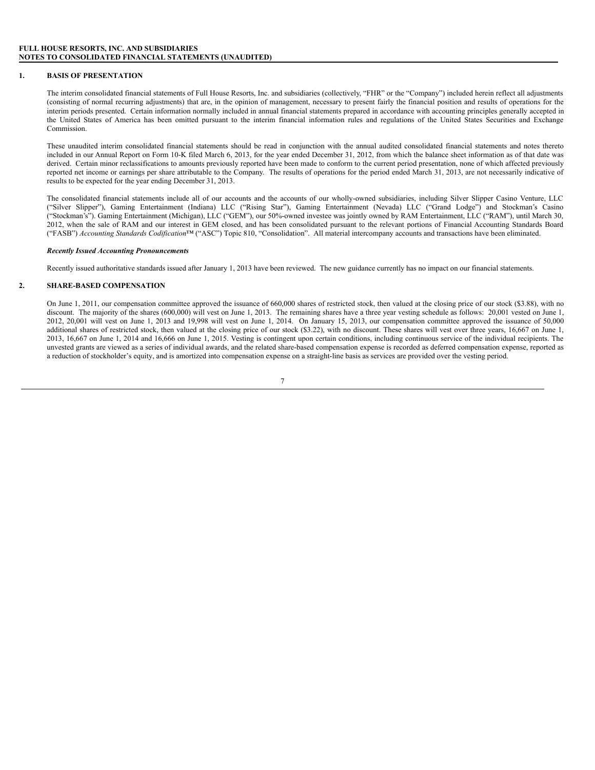## **1. BASIS OF PRESENTATION**

The interim consolidated financial statements of Full House Resorts, Inc. and subsidiaries (collectively, "FHR" or the "Company") included herein reflect all adjustments (consisting of normal recurring adjustments) that are, in the opinion of management, necessary to present fairly the financial position and results of operations for the interim periods presented. Certain information normally included in annual financial statements prepared in accordance with accounting principles generally accepted in the United States of America has been omitted pursuant to the interim financial information rules and regulations of the United States Securities and Exchange Commission.

These unaudited interim consolidated financial statements should be read in conjunction with the annual audited consolidated financial statements and notes thereto included in our Annual Report on Form 10-K filed March 6, 2013, for the year ended December 31, 2012, from which the balance sheet information as of that date was derived. Certain minor reclassifications to amounts previously reported have been made to conform to the current period presentation, none of which affected previously reported net income or earnings per share attributable to the Company. The results of operations for the period ended March 31, 2013, are not necessarily indicative of results to be expected for the year ending December 31, 2013.

The consolidated financial statements include all of our accounts and the accounts of our wholly-owned subsidiaries, including Silver Slipper Casino Venture, LLC ("Silver Slipper"), Gaming Entertainment (Indiana) LLC ("Rising Star"), Gaming Entertainment (Nevada) LLC ("Grand Lodge") and Stockman's Casino ("Stockman's"). Gaming Entertainment (Michigan), LLC ("GEM"), our 50%-owned investee was jointly owned by RAM Entertainment, LLC ("RAM"), until March 30, 2012, when the sale of RAM and our interest in GEM closed, and has been consolidated pursuant to the relevant portions of Financial Accounting Standards Board ("FASB") *Accounting Standards Codification*™ ("ASC") Topic 810, "Consolidation". All material intercompany accounts and transactions have been eliminated.

## *Recently Issued Accounting Pronouncements*

Recently issued authoritative standards issued after January 1, 2013 have been reviewed. The new guidance currently has no impact on our financial statements.

## **2. SHARE-BASED COMPENSATION**

On June 1, 2011, our compensation committee approved the issuance of 660,000 shares of restricted stock, then valued at the closing price of our stock (\$3.88), with no discount. The majority of the shares (600,000) will vest on June 1, 2013. The remaining shares have a three year vesting schedule as follows: 20,001 vested on June 1, 2012, 20,001 will vest on June 1, 2013 and 19,998 will vest on June 1, 2014. On January 15, 2013, our compensation committee approved the issuance of 50,000 additional shares of restricted stock, then valued at the closing price of our stock (\$3.22), with no discount. These shares will vest over three years, 16,667 on June 1, 2013, 16,667 on June 1, 2014 and 16,666 on June 1, 2015. Vesting is contingent upon certain conditions, including continuous service of the individual recipients. The unvested grants are viewed as a series of individual awards, and the related share-based compensation expense is recorded as deferred compensation expense, reported as a reduction of stockholder's equity, and is amortized into compensation expense on a straight-line basis as services are provided over the vesting period.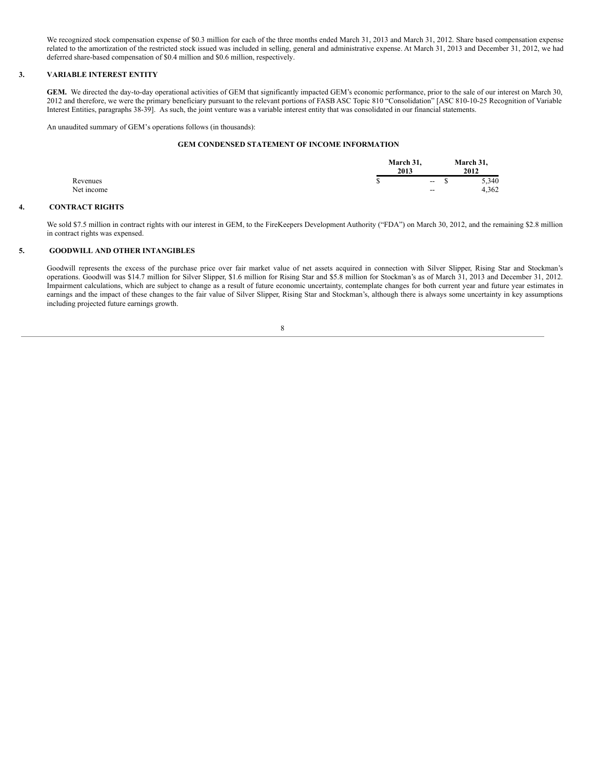We recognized stock compensation expense of \$0.3 million for each of the three months ended March 31, 2013 and March 31, 2012. Share based compensation expense related to the amortization of the restricted stock issued was included in selling, general and administrative expense. At March 31, 2013 and December 31, 2012, we had deferred share-based compensation of \$0.4 million and \$0.6 million, respectively.

## **3. VARIABLE INTEREST ENTITY**

GEM. We directed the day-to-day operational activities of GEM that significantly impacted GEM's economic performance, prior to the sale of our interest on March 30, 2012 and therefore, we were the primary beneficiary pursuant to the relevant portions of FASB ASC Topic 810 "Consolidation" [ASC 810-10-25 Recognition of Variable Interest Entities, paragraphs 38-39]. As such, the joint venture was a variable interest entity that was consolidated in our financial statements.

An unaudited summary of GEM's operations follows (in thousands):

## **GEM CONDENSED STATEMENT OF INCOME INFORMATION**

|            |   | March 31,<br>2013                  | March 31,<br>2012 |
|------------|---|------------------------------------|-------------------|
| Revenues   | w | $\hspace{0.05cm} -\hspace{0.05cm}$ | 5,340             |
| Net income |   | $-$                                | 4,362             |

## **4. CONTRACT RIGHTS**

We sold \$7.5 million in contract rights with our interest in GEM, to the FireKeepers Development Authority ("FDA") on March 30, 2012, and the remaining \$2.8 million in contract rights was expensed.

## **5. GOODWILL AND OTHER INTANGIBLES**

Goodwill represents the excess of the purchase price over fair market value of net assets acquired in connection with Silver Slipper, Rising Star and Stockman's operations. Goodwill was \$14.7 million for Silver Slipper, \$1.6 million for Rising Star and \$5.8 million for Stockman's as of March 31, 2013 and December 31, 2012. Impairment calculations, which are subject to change as a result of future economic uncertainty, contemplate changes for both current year and future year estimates in earnings and the impact of these changes to the fair value of Silver Slipper, Rising Star and Stockman's, although there is always some uncertainty in key assumptions including projected future earnings growth.

| I |  |  |  |
|---|--|--|--|
|   |  |  |  |
|   |  |  |  |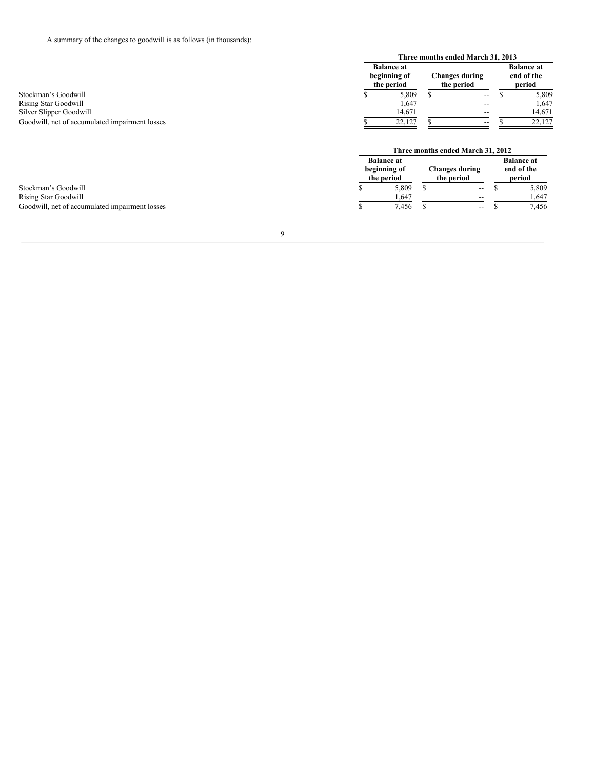A summary of the changes to goodwill is as follows (in thousands):

|                                                |   | Three months ended March 31, 2013 |                                                 |                                     |                          |   |                                           |  |  |  |
|------------------------------------------------|---|-----------------------------------|-------------------------------------------------|-------------------------------------|--------------------------|---|-------------------------------------------|--|--|--|
|                                                |   |                                   | <b>Balance</b> at<br>beginning of<br>the period | <b>Changes during</b><br>the period |                          |   | <b>Balance</b> at<br>end of the<br>period |  |  |  |
| Stockman's Goodwill                            |   | \$                                | 5,809                                           | \$                                  | $\overline{\phantom{a}}$ | S | 5,809                                     |  |  |  |
| <b>Rising Star Goodwill</b>                    |   |                                   | 1,647                                           |                                     | --                       |   | 1,647                                     |  |  |  |
| Silver Slipper Goodwill                        |   |                                   | 14,671                                          |                                     | --                       |   | 14,671                                    |  |  |  |
| Goodwill, net of accumulated impairment losses |   |                                   | 22,127                                          |                                     |                          |   | 22,127                                    |  |  |  |
|                                                |   |                                   | <b>Balance at</b><br>beginning of<br>the period | <b>Changes during</b><br>the period |                          |   | <b>Balance at</b><br>end of the<br>period |  |  |  |
| Stockman's Goodwill                            |   |                                   | 5,809                                           | S                                   | $- -$                    | S | 5,809                                     |  |  |  |
| <b>Rising Star Goodwill</b>                    |   |                                   | 1,647                                           |                                     |                          |   | 1,647                                     |  |  |  |
| Goodwill, net of accumulated impairment losses |   |                                   | 7,456                                           |                                     |                          |   | 7,456                                     |  |  |  |
|                                                | 9 |                                   |                                                 |                                     |                          |   |                                           |  |  |  |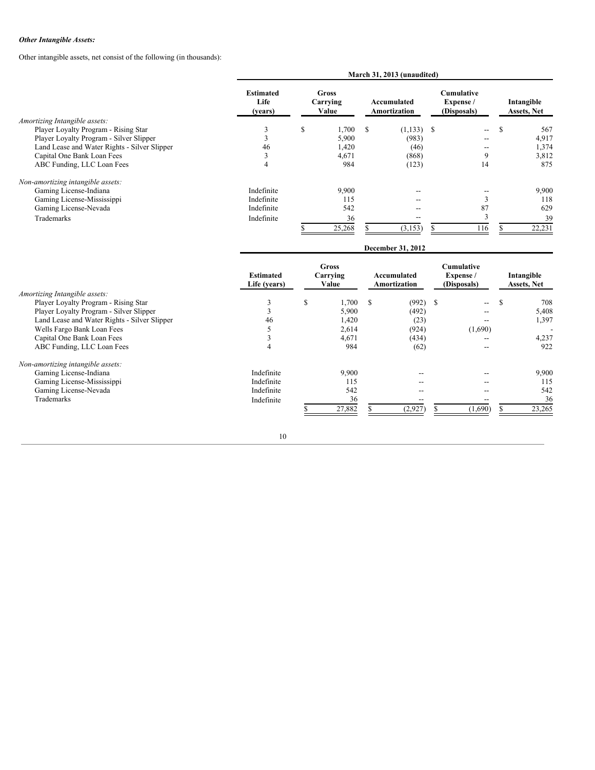## *Other Intangible Assets:*

Other intangible assets, net consist of the following (in thousands):

|                                              |                                     |    |                                   |     | March 31, 2013 (unaudited)  |  |                                        |               |                           |
|----------------------------------------------|-------------------------------------|----|-----------------------------------|-----|-----------------------------|--|----------------------------------------|---------------|---------------------------|
|                                              | <b>Estimated</b><br>Life<br>(years) |    | <b>Gross</b><br>Carrying<br>Value |     | Accumulated<br>Amortization |  | Cumulative<br>Expense /<br>(Disposals) |               | Intangible<br>Assets, Net |
| Amortizing Intangible assets:                |                                     |    |                                   |     |                             |  |                                        |               |                           |
| Player Loyalty Program - Rising Star         | 3                                   | \$ | 1,700                             | -\$ | $(1,133)$ \$                |  | $- -$                                  | <sup>\$</sup> | 567                       |
| Player Loyalty Program - Silver Slipper      | 3                                   |    | 5,900                             |     | (983)                       |  | $- -$                                  |               | 4,917                     |
| Land Lease and Water Rights - Silver Slipper | 46                                  |    | 1,420                             |     | (46)                        |  | $- -$                                  |               | 1,374                     |
| Capital One Bank Loan Fees                   | 3                                   |    | 4,671                             |     | (868)                       |  | 9                                      |               | 3,812                     |
| ABC Funding, LLC Loan Fees                   | 4                                   |    | 984                               |     | (123)                       |  | 14                                     |               | 875                       |
| Non-amortizing intangible assets:            |                                     |    |                                   |     |                             |  |                                        |               |                           |
| Gaming License-Indiana                       | Indefinite                          |    | 9,900                             |     |                             |  |                                        |               | 9,900                     |
| Gaming License-Mississippi                   | Indefinite                          |    | 115                               |     |                             |  |                                        |               | 118                       |
| Gaming License-Nevada                        | Indefinite                          |    | 542                               |     |                             |  | 87                                     |               | 629                       |
| Trademarks                                   | Indefinite                          |    | 36                                |     |                             |  |                                        |               | 39                        |
|                                              |                                     |    | 25,268                            |     | (3, 153)                    |  | 116                                    |               | 22,231                    |
|                                              |                                     |    |                                   |     |                             |  |                                        |               |                           |

## **December 31, 2012**

| <b>Estimated</b><br>Life (years) | Gross<br>Carrying<br>Value |        |       |         |                             |                          |                                        | Intangible<br>Assets, Net |
|----------------------------------|----------------------------|--------|-------|---------|-----------------------------|--------------------------|----------------------------------------|---------------------------|
|                                  |                            |        |       |         |                             |                          |                                        |                           |
|                                  |                            |        |       |         |                             | $\overline{\phantom{a}}$ |                                        | 708                       |
|                                  |                            | 5,900  |       | (492)   |                             | --                       |                                        | 5,408                     |
| 46                               |                            | 1,420  |       | (23)    |                             |                          |                                        | 1,397                     |
|                                  |                            | 2,614  |       | (924)   |                             | (1,690)                  |                                        |                           |
|                                  |                            | 4,671  |       | (434)   |                             | $-$                      |                                        | 4,237                     |
|                                  |                            | 984    |       | (62)    |                             | $-$                      |                                        | 922                       |
|                                  |                            |        |       |         |                             |                          |                                        |                           |
| Indefinite                       |                            | 9,900  |       |         |                             |                          |                                        | 9,900                     |
| Indefinite                       |                            | 115    |       | --      |                             | --                       |                                        | 115                       |
| Indefinite                       |                            | 542    |       | $- -$   |                             |                          |                                        | 542                       |
| Indefinite                       |                            | 36     |       | $- -$   |                             |                          |                                        | 36                        |
|                                  |                            | 27,882 |       | (2,927) |                             | (1,690)                  |                                        | 23,265                    |
|                                  |                            | \$     | 1.700 | \$.     | Accumulated<br>Amortization | (992)<br>-S              | Cumulative<br>Expense /<br>(Disposals) | \$.                       |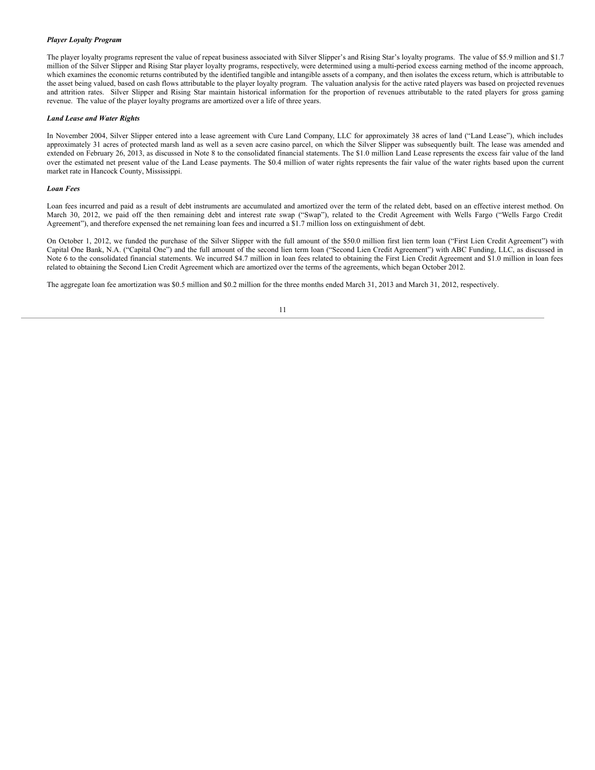## *Player Loyalty Program*

The player loyalty programs represent the value of repeat business associated with Silver Slipper's and Rising Star's loyalty programs. The value of \$5.9 million and \$1.7 million of the Silver Slipper and Rising Star player loyalty programs, respectively, were determined using a multi-period excess earning method of the income approach, which examines the economic returns contributed by the identified tangible and intangible assets of a company, and then isolates the excess return, which is attributable to the asset being valued, based on cash flows attributable to the player loyalty program. The valuation analysis for the active rated players was based on projected revenues and attrition rates. Silver Slipper and Rising Star maintain historical information for the proportion of revenues attributable to the rated players for gross gaming revenue. The value of the player loyalty programs are amortized over a life of three years.

## *Land Lease and Water Rights*

In November 2004, Silver Slipper entered into a lease agreement with Cure Land Company, LLC for approximately 38 acres of land ("Land Lease"), which includes approximately 31 acres of protected marsh land as well as a seven acre casino parcel, on which the Silver Slipper was subsequently built. The lease was amended and extended on February 26, 2013, as discussed in Note 8 to the consolidated financial statements. The \$1.0 million Land Lease represents the excess fair value of the land over the estimated net present value of the Land Lease payments. The \$0.4 million of water rights represents the fair value of the water rights based upon the current market rate in Hancock County, Mississippi.

## *Loan Fees*

Loan fees incurred and paid as a result of debt instruments are accumulated and amortized over the term of the related debt, based on an effective interest method. On March 30, 2012, we paid off the then remaining debt and interest rate swap ("Swap"), related to the Credit Agreement with Wells Fargo ("Wells Fargo Credit Agreement"), and therefore expensed the net remaining loan fees and incurred a \$1.7 million loss on extinguishment of debt.

On October 1, 2012, we funded the purchase of the Silver Slipper with the full amount of the \$50.0 million first lien term loan ("First Lien Credit Agreement") with Capital One Bank, N.A. ("Capital One") and the full amount of the second lien term loan ("Second Lien Credit Agreement") with ABC Funding, LLC, as discussed in Note 6 to the consolidated financial statements. We incurred \$4.7 million in loan fees related to obtaining the First Lien Credit Agreement and \$1.0 million in loan fees related to obtaining the Second Lien Credit Agreement which are amortized over the terms of the agreements, which began October 2012.

The aggregate loan fee amortization was \$0.5 million and \$0.2 million for the three months ended March 31, 2013 and March 31, 2012, respectively.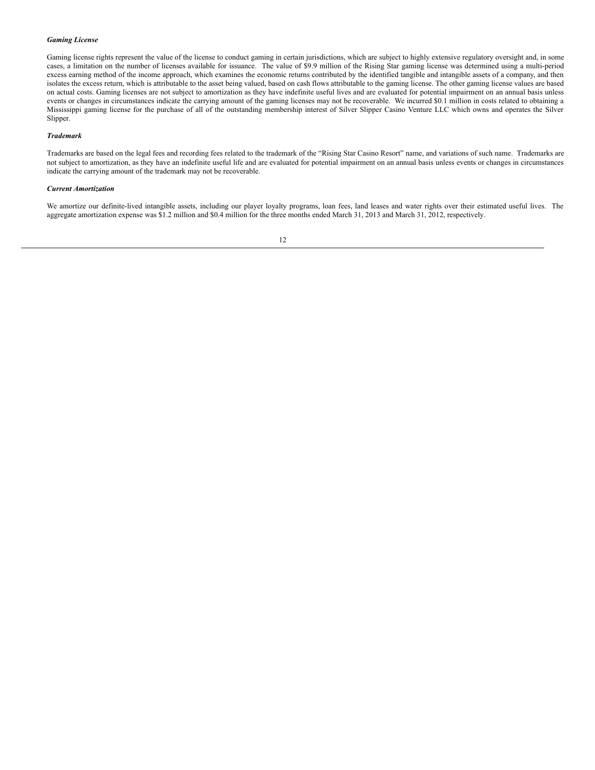#### *Gaming License*

Gaming license rights represent the value of the license to conduct gaming in certain jurisdictions, which are subject to highly extensive regulatory oversight and, in some cases, a limitation on the number of licenses available for issuance. The value of \$9.9 million of the Rising Star gaming license was determined using a multi-period excess earning method of the income approach, which examines the economic returns contributed by the identified tangible and intangible assets of a company, and then isolates the excess return, which is attributable to the asset being valued, based on cash flows attributable to the gaming license. The other gaming license values are based on actual costs. Gaming licenses are not subject to amortization as they have indefinite useful lives and are evaluated for potential impairment on an annual basis unless events or changes in circumstances indicate the carrying amount of the gaming licenses may not be recoverable. We incurred \$0.1 million in costs related to obtaining a Mississippi gaming license for the purchase of all of the outstanding membership interest of Silver Slipper Casino Venture LLC which owns and operates the Silver Slipper.

#### *Trademark*

Trademarks are based on the legal fees and recording fees related to the trademark of the "Rising Star Casino Resort" name, and variations of such name. Trademarks are not subject to amortization, as they have an indefinite useful life and are evaluated for potential impairment on an annual basis unless events or changes in circumstances indicate the carrying amount of the trademark may not be recoverable.

#### *Current Amortization*

We amortize our definite-lived intangible assets, including our player loyalty programs, loan fees, land leases and water rights over their estimated useful lives. The aggregate amortization expense was \$1.2 million and \$0.4 million for the three months ended March 31, 2013 and March 31, 2012, respectively.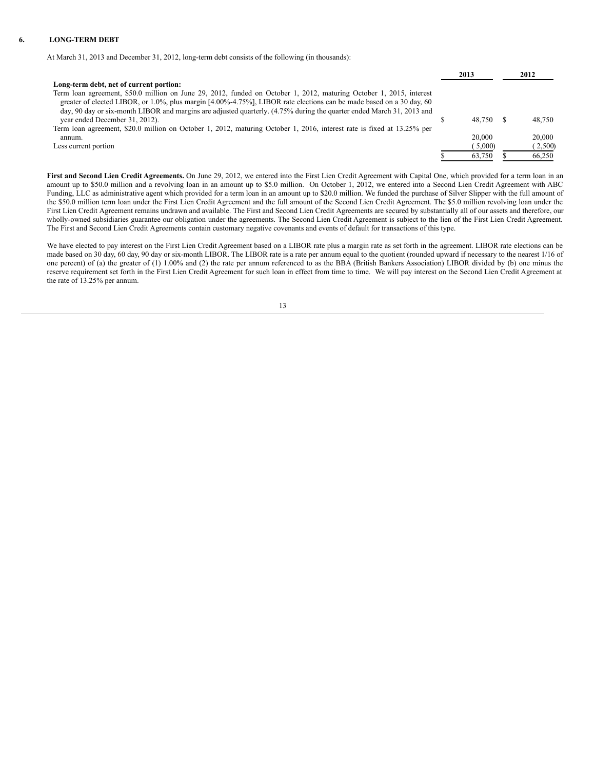## **6. LONG-TERM DEBT**

At March 31, 2013 and December 31, 2012, long-term debt consists of the following (in thousands):

|                                                                                                                        | 2013    | 2012    |
|------------------------------------------------------------------------------------------------------------------------|---------|---------|
| Long-term debt, net of current portion:                                                                                |         |         |
| Term loan agreement, \$50.0 million on June 29, 2012, funded on October 1, 2012, maturing October 1, 2015, interest    |         |         |
| greater of elected LIBOR, or 1.0%, plus margin [4.00%-4.75%], LIBOR rate elections can be made based on a 30 day, 60   |         |         |
| day, 90 day or six-month LIBOR and margins are adjusted quarterly. (4.75% during the quarter ended March 31, 2013 and  |         |         |
| year ended December 31, 2012).                                                                                         | 48.750  | 48.750  |
| Term loan agreement, \$20.0 million on October 1, 2012, maturing October 1, 2016, interest rate is fixed at 13.25% per |         |         |
| annum.                                                                                                                 | 20.000  | 20,000  |
| Less current portion                                                                                                   | (5,000) | (2,500) |
|                                                                                                                        | 63.750  | 66,250  |
|                                                                                                                        |         |         |

**First and Second Lien Credit Agreements.** On June 29, 2012, we entered into the First Lien Credit Agreement with Capital One, which provided for a term loan in an amount up to \$50.0 million and a revolving loan in an amount up to \$5.0 million. On October 1, 2012, we entered into a Second Lien Credit Agreement with ABC Funding, LLC as administrative agent which provided for a term loan in an amount up to \$20.0 million. We funded the purchase of Silver Slipper with the full amount of the \$50.0 million term loan under the First Lien Credit Agreement and the full amount of the Second Lien Credit Agreement. The \$5.0 million revolving loan under the First Lien Credit Agreement remains undrawn and available. The First and Second Lien Credit Agreements are secured by substantially all of our assets and therefore, our wholly-owned subsidiaries guarantee our obligation under the agreements. The Second Lien Credit Agreement is subject to the lien of the First Lien Credit Agreement. The First and Second Lien Credit Agreements contain customary negative covenants and events of default for transactions of this type.

We have elected to pay interest on the First Lien Credit Agreement based on a LIBOR rate plus a margin rate as set forth in the agreement. LIBOR rate elections can be made based on 30 day, 60 day, 90 day or six-month LIBOR. The LIBOR rate is a rate per annum equal to the quotient (rounded upward if necessary to the nearest 1/16 of one percent) of (a) the greater of (1) 1.00% and (2) the rate per annum referenced to as the BBA (British Bankers Association) LIBOR divided by (b) one minus the reserve requirement set forth in the First Lien Credit Agreement for such loan in effect from time to time. We will pay interest on the Second Lien Credit Agreement at the rate of 13.25% per annum.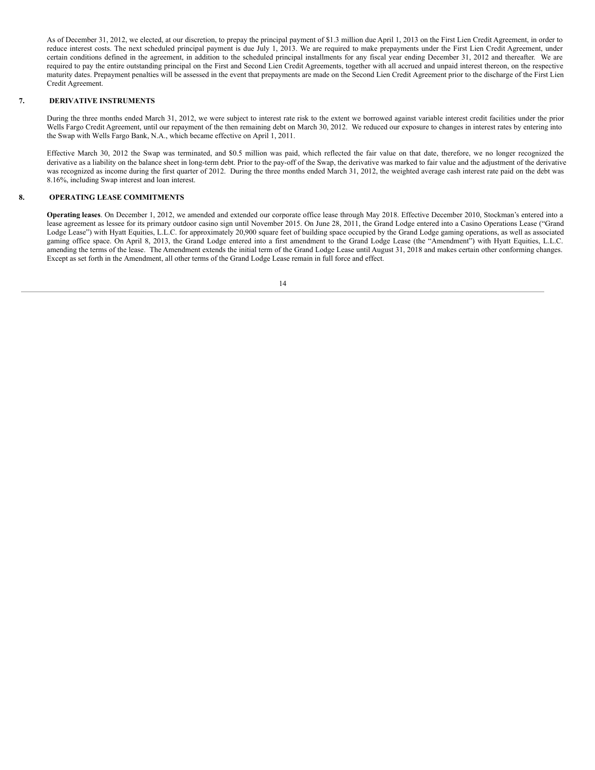As of December 31, 2012, we elected, at our discretion, to prepay the principal payment of \$1.3 million due April 1, 2013 on the First Lien Credit Agreement, in order to reduce interest costs. The next scheduled principal payment is due July 1, 2013. We are required to make prepayments under the First Lien Credit Agreement, under certain conditions defined in the agreement, in addition to the scheduled principal installments for any fiscal year ending December 31, 2012 and thereafter. We are required to pay the entire outstanding principal on the First and Second Lien Credit Agreements, together with all accrued and unpaid interest thereon, on the respective maturity dates. Prepayment penalties will be assessed in the event that prepayments are made on the Second Lien Credit Agreement prior to the discharge of the First Lien Credit Agreement.

## **7. DERIVATIVE INSTRUMENTS**

During the three months ended March 31, 2012, we were subject to interest rate risk to the extent we borrowed against variable interest credit facilities under the prior Wells Fargo Credit Agreement, until our repayment of the then remaining debt on March 30, 2012. We reduced our exposure to changes in interest rates by entering into the Swap with Wells Fargo Bank, N.A., which became effective on April 1, 2011.

Effective March 30, 2012 the Swap was terminated, and \$0.5 million was paid, which reflected the fair value on that date, therefore, we no longer recognized the derivative as a liability on the balance sheet in long-term debt. Prior to the pay-off of the Swap, the derivative was marked to fair value and the adjustment of the derivative was recognized as income during the first quarter of 2012. During the three months ended March 31, 2012, the weighted average cash interest rate paid on the debt was 8.16%, including Swap interest and loan interest.

## **8. OPERATING LEASE COMMITMENTS**

**Operating leases**. On December 1, 2012, we amended and extended our corporate office lease through May 2018. Effective December 2010, Stockman's entered into a lease agreement as lessee for its primary outdoor casino sign until November 2015. On June 28, 2011, the Grand Lodge entered into a Casino Operations Lease ("Grand Lodge Lease") with Hyatt Equities, L.L.C. for approximately 20,900 square feet of building space occupied by the Grand Lodge gaming operations, as well as associated gaming office space. On April 8, 2013, the Grand Lodge entered into a first amendment to the Grand Lodge Lease (the "Amendment") with Hyatt Equities, L.L.C. amending the terms of the lease. The Amendment extends the initial term of the Grand Lodge Lease until August 31, 2018 and makes certain other conforming changes. Except as set forth in the Amendment, all other terms of the Grand Lodge Lease remain in full force and effect.

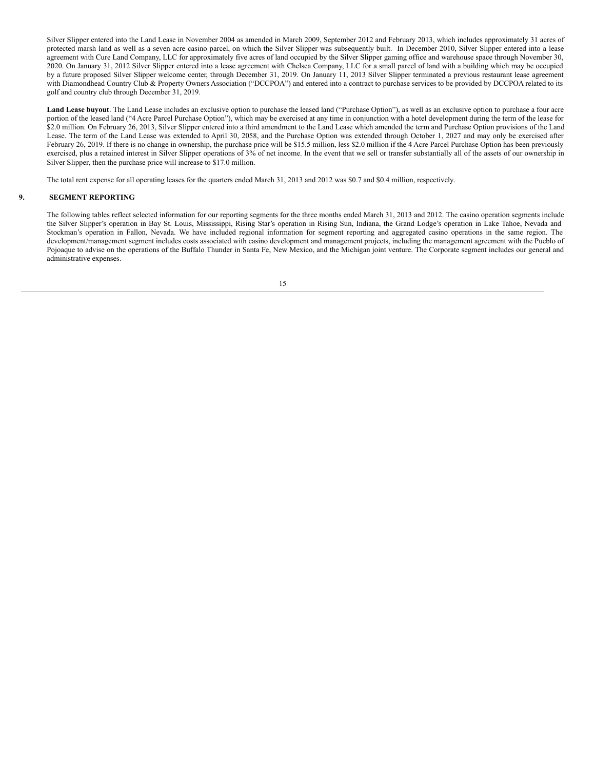Silver Slipper entered into the Land Lease in November 2004 as amended in March 2009, September 2012 and February 2013, which includes approximately 31 acres of protected marsh land as well as a seven acre casino parcel, on which the Silver Slipper was subsequently built. In December 2010, Silver Slipper entered into a lease agreement with Cure Land Company, LLC for approximately five acres of land occupied by the Silver Slipper gaming office and warehouse space through November 30, 2020. On January 31, 2012 Silver Slipper entered into a lease agreement with Chelsea Company, LLC for a small parcel of land with a building which may be occupied by a future proposed Silver Slipper welcome center, through December 31, 2019. On January 11, 2013 Silver Slipper terminated a previous restaurant lease agreement with Diamondhead Country Club & Property Owners Association ("DCCPOA") and entered into a contract to purchase services to be provided by DCCPOA related to its golf and country club through December 31, 2019.

**Land Lease buyout**. The Land Lease includes an exclusive option to purchase the leased land ("Purchase Option"), as well as an exclusive option to purchase a four acre portion of the leased land ("4 Acre Parcel Purchase Option"), which may be exercised at any time in conjunction with a hotel development during the term of the lease for \$2.0 million. On February 26, 2013, Silver Slipper entered into a third amendment to the Land Lease which amended the term and Purchase Option provisions of the Land Lease. The term of the Land Lease was extended to April 30, 2058, and the Purchase Option was extended through October 1, 2027 and may only be exercised after February 26, 2019. If there is no change in ownership, the purchase price will be \$15.5 million, less \$2.0 million if the 4 Acre Parcel Purchase Option has been previously exercised, plus a retained interest in Silver Slipper operations of 3% of net income. In the event that we sell or transfer substantially all of the assets of our ownership in Silver Slipper, then the purchase price will increase to \$17.0 million.

The total rent expense for all operating leases for the quarters ended March 31, 2013 and 2012 was \$0.7 and \$0.4 million, respectively.

### **9. SEGMENT REPORTING**

The following tables reflect selected information for our reporting segments for the three months ended March 31, 2013 and 2012. The casino operation segments include the Silver Slipper's operation in Bay St. Louis, Mississippi, Rising Star's operation in Rising Sun, Indiana, the Grand Lodge's operation in Lake Tahoe, Nevada and Stockman's operation in Fallon, Nevada. We have included regional information for segment reporting and aggregated casino operations in the same region. The development/management segment includes costs associated with casino development and management projects, including the management agreement with the Pueblo of Pojoaque to advise on the operations of the Buffalo Thunder in Santa Fe, New Mexico, and the Michigan joint venture. The Corporate segment includes our general and administrative expenses.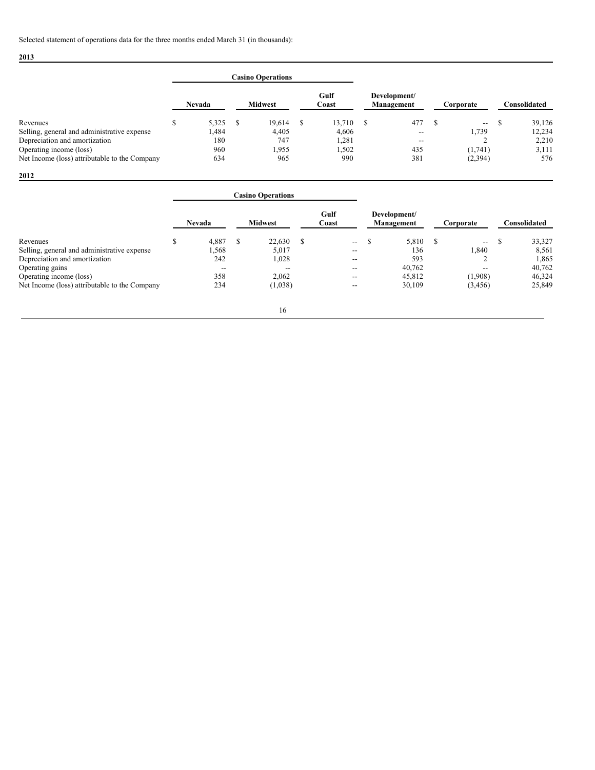## **2013**

|                                               | <b>Casino Operations</b> |        |  |                |     |               |    |                            |                                                     |              |
|-----------------------------------------------|--------------------------|--------|--|----------------|-----|---------------|----|----------------------------|-----------------------------------------------------|--------------|
|                                               |                          | Nevada |  | <b>Midwest</b> |     | Gulf<br>Coast |    | Development/<br>Management | Corporate                                           | Consolidated |
| Revenues                                      |                          | 5,325  |  | 19.614         | \$. | 13.710        | эv | 477                        | $\hspace{0.05cm} -\hspace{0.05cm} -\hspace{0.05cm}$ | 39,126       |
| Selling, general and administrative expense   |                          | 1,484  |  | 4,405          |     | 4,606         |    | $- -$                      | 1,739                                               | 12,234       |
| Depreciation and amortization                 |                          | 180    |  | 747            |     | 1,281         |    | $- -$                      |                                                     | 2,210        |
| Operating income (loss)                       |                          | 960    |  | 1.955          |     | .502          |    | 435                        | (1,741)                                             | 3,111        |
| Net Income (loss) attributable to the Company |                          | 634    |  | 965            |     | 990           |    | 381                        | (2, 394)                                            | 576          |

|                                               | <b>Casino Operations</b> |                          |   |                |               |               |                            |   |           |              |
|-----------------------------------------------|--------------------------|--------------------------|---|----------------|---------------|---------------|----------------------------|---|-----------|--------------|
|                                               |                          | Nevada                   |   | <b>Midwest</b> |               | Gulf<br>Coast | Development/<br>Management |   | Corporate | Consolidated |
| Revenues                                      | S                        | 4,887                    | S | 22,630         | <sup>\$</sup> | $-$           | 5,810                      | S | $--$      | 33,327       |
| Selling, general and administrative expense   |                          | 1,568                    |   | 5,017          |               | $- -$         | 136                        |   | 1,840     | 8,561        |
| Depreciation and amortization                 |                          | 242                      |   | 1,028          |               | $- -$         | 593                        |   |           | 1,865        |
| Operating gains                               |                          | $\overline{\phantom{m}}$ |   | $-$            |               | $- -$         | 40,762                     |   | $- -$     | 40,762       |
| Operating income (loss)                       |                          | 358                      |   | 2,062          |               | $- -$         | 45,812                     |   | (1,908)   | 46,324       |
| Net Income (loss) attributable to the Company |                          | 234                      |   | (1,038)        |               | $- -$         | 30,109                     |   | (3, 456)  | 25,849       |
|                                               |                          |                          |   | 16             |               |               |                            |   |           |              |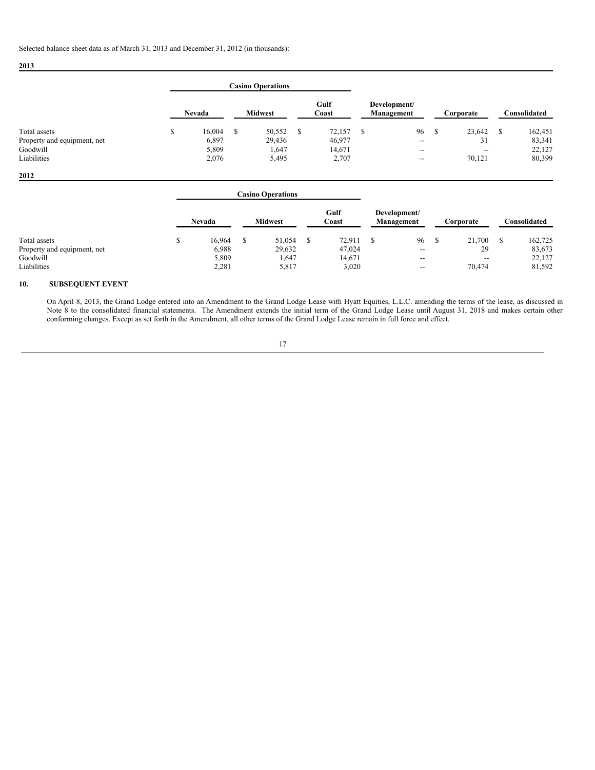## **2013**

|                             | <b>Casino Operations</b> |   |                |  |               |                            |    |           |              |
|-----------------------------|--------------------------|---|----------------|--|---------------|----------------------------|----|-----------|--------------|
|                             | Nevada                   |   | <b>Midwest</b> |  | Gulf<br>Coast | Development/<br>Management |    | Corporate | Consolidated |
| Total assets                | 16.004                   | S | 50,552         |  | 72,157        | 96                         | J. | 23,642    | 162,451      |
| Property and equipment, net | 6,897                    |   | 29,436         |  | 46,977        | $\overline{\phantom{a}}$   |    | 31        | 83,341       |
| Goodwill                    | 5,809                    |   | 1,647          |  | 14,671        | $- -$                      |    | $- -$     | 22,127       |
| Liabilities                 | 2,076                    |   | 5,495          |  | 2,707         | $\overline{\phantom{m}}$   |    | 70,121    | 80,399       |

## **2012**

|                             | <b>Casino Operations</b> |  |                |  |               |                                                     |           |              |
|-----------------------------|--------------------------|--|----------------|--|---------------|-----------------------------------------------------|-----------|--------------|
|                             | <b>Nevada</b>            |  | <b>Midwest</b> |  | Gulf<br>Coast | Development/<br>Management                          | Corporate | Consolidated |
| Total assets<br>S           | 16,964                   |  | 51,054         |  | 72,911        | 96                                                  | 21,700    | 162,725      |
| Property and equipment, net | 6,988                    |  | 29,632         |  | 47,024        | $\hspace{0.05cm} -\hspace{0.05cm} -\hspace{0.05cm}$ | 29        | 83,673       |
| Goodwill                    | 5,809                    |  | 1,647          |  | 14,671        | $- -$                                               | $- -$     | 22,127       |
| Liabilities                 | 2,281                    |  | 5,817          |  | 3,020         | $\hspace{0.05cm} -\hspace{0.05cm} -\hspace{0.05cm}$ | 70,474    | 81,592       |

## **10. SUBSEQUENT EVENT**

On April 8, 2013, the Grand Lodge entered into an Amendment to the Grand Lodge Lease with Hyatt Equities, L.L.C. amending the terms of the lease, as discussed in Note 8 to the consolidated financial statements. The Amendment extends the initial term of the Grand Lodge Lease until August 31, 2018 and makes certain other conforming changes. Except as set forth in the Amendment, all other terms of the Grand Lodge Lease remain in full force and effect.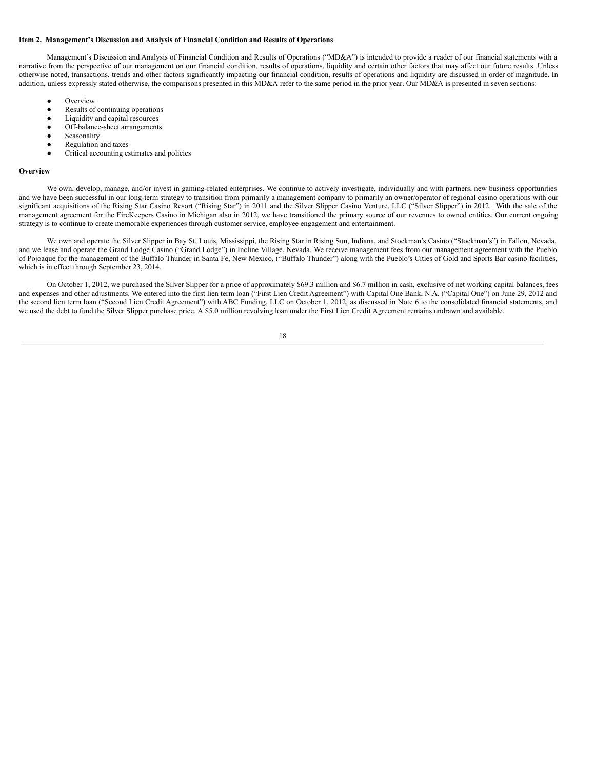#### **Item 2. Management's Discussion and Analysis of Financial Condition and Results of Operations**

Management's Discussion and Analysis of Financial Condition and Results of Operations ("MD&A") is intended to provide a reader of our financial statements with a narrative from the perspective of our management on our financial condition, results of operations, liquidity and certain other factors that may affect our future results. Unless otherwise noted, transactions, trends and other factors significantly impacting our financial condition, results of operations and liquidity are discussed in order of magnitude. In addition, unless expressly stated otherwise, the comparisons presented in this MD&A refer to the same period in the prior year. Our MD&A is presented in seven sections:

- **Overview**
- Results of continuing operations
- Liquidity and capital resources
- Off-balance-sheet arrangements
- Seasonality
- Regulation and taxes
- Critical accounting estimates and policies

#### **Overview**

We own, develop, manage, and/or invest in gaming-related enterprises. We continue to actively investigate, individually and with partners, new business opportunities and we have been successful in our long-term strategy to transition from primarily a management company to primarily an owner/operator of regional casino operations with our significant acquisitions of the Rising Star Casino Resort ("Rising Star") in 2011 and the Silver Slipper Casino Venture, LLC ("Silver Slipper") in 2012. With the sale of the management agreement for the FireKeepers Casino in Michigan also in 2012, we have transitioned the primary source of our revenues to owned entities. Our current ongoing strategy is to continue to create memorable experiences through customer service, employee engagement and entertainment.

We own and operate the Silver Slipper in Bay St. Louis, Mississippi, the Rising Star in Rising Sun, Indiana, and Stockman's Casino ("Stockman's") in Fallon, Nevada, and we lease and operate the Grand Lodge Casino ("Grand Lodge") in Incline Village, Nevada. We receive management fees from our management agreement with the Pueblo of Pojoaque for the management of the Buffalo Thunder in Santa Fe, New Mexico, ("Buffalo Thunder") along with the Pueblo's Cities of Gold and Sports Bar casino facilities, which is in effect through September 23, 2014.

On October 1, 2012, we purchased the Silver Slipper for a price of approximately \$69.3 million and \$6.7 million in cash, exclusive of net working capital balances, fees and expenses and other adjustments. We entered into the first lien term loan ("First Lien Credit Agreement") with Capital One Bank, N.A. ("Capital One") on June 29, 2012 and the second lien term loan ("Second Lien Credit Agreement") with ABC Funding, LLC on October 1, 2012, as discussed in Note 6 to the consolidated financial statements, and we used the debt to fund the Silver Slipper purchase price. A \$5.0 million revolving loan under the First Lien Credit Agreement remains undrawn and available.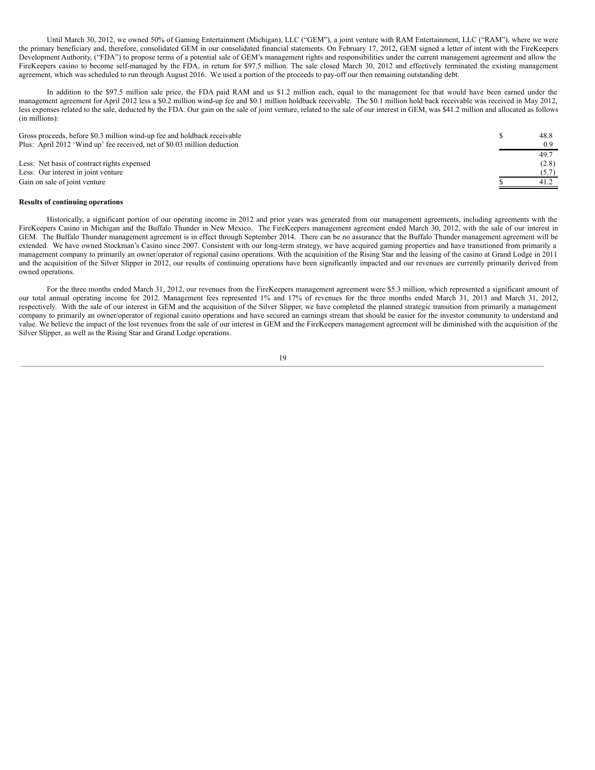Until March 30, 2012, we owned 50% of Gaming Entertainment (Michigan), LLC ("GEM"), a joint venture with RAM Entertainment, LLC ("RAM"), where we were the primary beneficiary and, therefore, consolidated GEM in our consolidated financial statements. On February 17, 2012, GEM signed a letter of intent with the FireKeepers Development Authority, ("FDA") to propose terms of a potential sale of GEM's management rights and responsibilities under the current management agreement and allow the FireKeepers casino to become self-managed by the FDA, in return for \$97.5 million. The sale closed March 30, 2012 and effectively terminated the existing management agreement, which was scheduled to run through August 2016. We used a portion of the proceeds to pay-off our then remaining outstanding debt.

In addition to the \$97.5 million sale price, the FDA paid RAM and us \$1.2 million each, equal to the management fee that would have been earned under the management agreement for April 2012 less a \$0.2 million wind-up fee and \$0.1 million holdback receivable. The \$0.1 million hold back receivable was received in May 2012, less expenses related to the sale, deducted by the FDA. Our gain on the sale of joint venture, related to the sale of our interest in GEM, was \$41.2 million and allocated as follows (in millions):

| Gross proceeds, before \$0.3 million wind-up fee and holdback receivable<br>Plus: April 2012 'Wind up' fee received, net of \$0.03 million deduction | 48.8<br>0.9 |
|------------------------------------------------------------------------------------------------------------------------------------------------------|-------------|
|                                                                                                                                                      | 49.7        |
| Less: Net basis of contract rights expensed                                                                                                          | (2.8)       |
| Less: Our interest in joint venture                                                                                                                  |             |
| Gain on sale of joint venture                                                                                                                        | 41.2        |

## **Results of continuing operations**

Historically, a significant portion of our operating income in 2012 and prior years was generated from our management agreements, including agreements with the FireKeepers Casino in Michigan and the Buffalo Thunder in New Mexico. The FireKeepers management agreement ended March 30, 2012, with the sale of our interest in GEM. The Buffalo Thunder management agreement is in effect through September 2014. There can be no assurance that the Buffalo Thunder management agreement will be extended. We have owned Stockman's Casino since 2007. Consistent with our long-term strategy, we have acquired gaming properties and have transitioned from primarily a management company to primarily an owner/operator of regional casino operations. With the acquisition of the Rising Star and the leasing of the casino at Grand Lodge in 2011 and the acquisition of the Silver Slipper in 2012, our results of continuing operations have been significantly impacted and our revenues are currently primarily derived from owned operations.

For the three months ended March 31, 2012, our revenues from the FireKeepers management agreement were \$5.3 million, which represented a significant amount of our total annual operating income for 2012. Management fees represented 1% and 17% of revenues for the three months ended March 31, 2013 and March 31, 2012, respectively. With the sale of our interest in GEM and the acquisition of the Silver Slipper, we have completed the planned strategic transition from primarily a management company to primarily an owner/operator of regional casino operations and have secured an earnings stream that should be easier for the investor community to understand and value. We believe the impact of the lost revenues from the sale of our interest in GEM and the FireKeepers management agreement will be diminished with the acquisition of the Silver Slipper, as well as the Rising Star and Grand Lodge operations.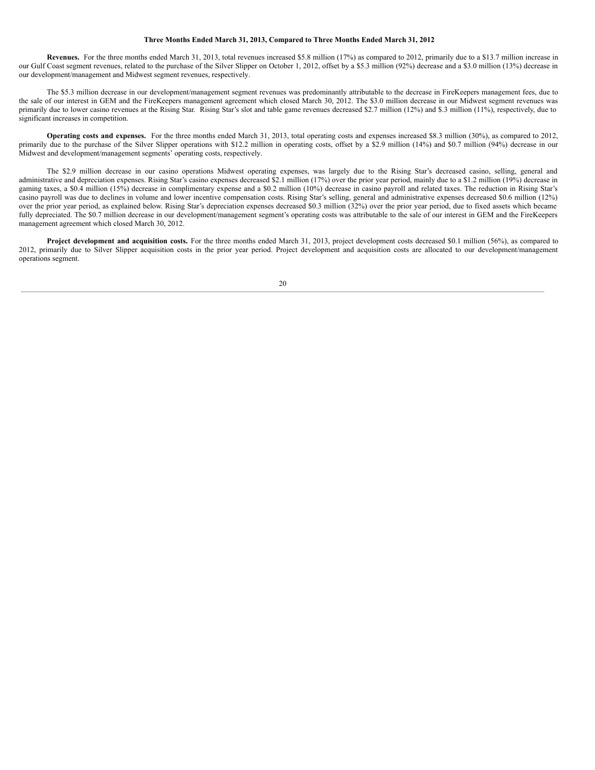#### **Three Months Ended March 31, 2013, Compared to Three Months Ended March 31, 2012**

**Revenues.** For the three months ended March 31, 2013, total revenues increased \$5.8 million (17%) as compared to 2012, primarily due to a \$13.7 million increase in our Gulf Coast segment revenues, related to the purchase of the Silver Slipper on October 1, 2012, offset by a \$5.3 million (92%) decrease and a \$3.0 million (13%) decrease in our development/management and Midwest segment revenues, respectively.

The \$5.3 million decrease in our development/management segment revenues was predominantly attributable to the decrease in FireKeepers management fees, due to the sale of our interest in GEM and the FireKeepers management agreement which closed March 30, 2012. The \$3.0 million decrease in our Midwest segment revenues was primarily due to lower casino revenues at the Rising Star. Rising Star's slot and table game revenues decreased \$2.7 million (12%) and \$.3 million (11%), respectively, due to significant increases in competition.

**Operating costs and expenses.** For the three months ended March 31, 2013, total operating costs and expenses increased \$8.3 million (30%), as compared to 2012, primarily due to the purchase of the Silver Slipper operations with \$12.2 million in operating costs, offset by a \$2.9 million (14%) and \$0.7 million (94%) decrease in our Midwest and development/management segments' operating costs, respectively.

The \$2.9 million decrease in our casino operations Midwest operating expenses, was largely due to the Rising Star's decreased casino, selling, general and administrative and depreciation expenses. Rising Star's casino expenses decreased \$2.1 million (17%) over the prior year period, mainly due to a \$1.2 million (19%) decrease in gaming taxes, a \$0.4 million (15%) decrease in complimentary expense and a \$0.2 million (10%) decrease in casino payroll and related taxes. The reduction in Rising Star's casino payroll was due to declines in volume and lower incentive compensation costs. Rising Star's selling, general and administrative expenses decreased \$0.6 million (12%) over the prior year period, as explained below. Rising Star's depreciation expenses decreased \$0.3 million (32%) over the prior year period, due to fixed assets which became fully depreciated. The \$0.7 million decrease in our development/management segment's operating costs was attributable to the sale of our interest in GEM and the FireKeepers management agreement which closed March 30, 2012.

**Project development and acquisition costs.** For the three months ended March 31, 2013, project development costs decreased \$0.1 million (56%), as compared to 2012, primarily due to Silver Slipper acquisition costs in the prior year period. Project development and acquisition costs are allocated to our development/management operations segment.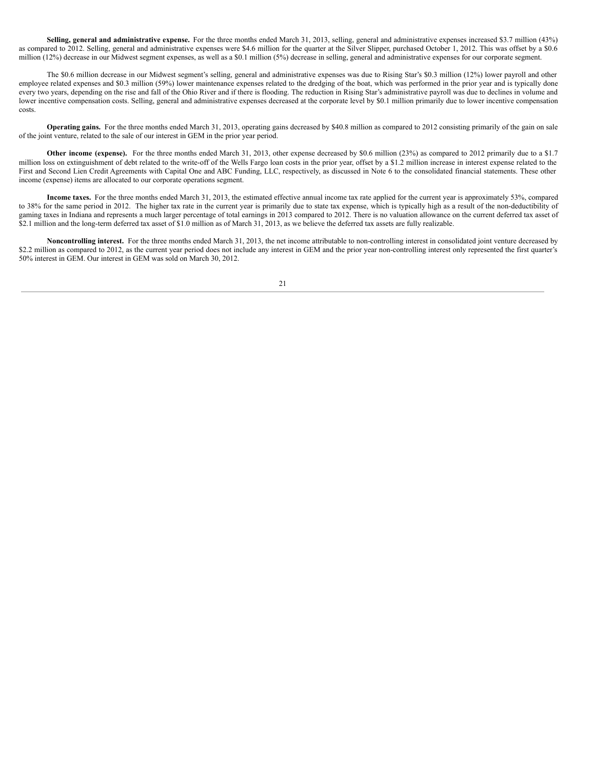**Selling, general and administrative expense.** For the three months ended March 31, 2013, selling, general and administrative expenses increased \$3.7 million (43%) as compared to 2012. Selling, general and administrative expenses were \$4.6 million for the quarter at the Silver Slipper, purchased October 1, 2012. This was offset by a \$0.6 million (12%) decrease in our Midwest segment expenses, as well as a \$0.1 million (5%) decrease in selling, general and administrative expenses for our corporate segment.

The \$0.6 million decrease in our Midwest segment's selling, general and administrative expenses was due to Rising Star's \$0.3 million (12%) lower payroll and other employee related expenses and \$0.3 million (59%) lower maintenance expenses related to the dredging of the boat, which was performed in the prior year and is typically done every two years, depending on the rise and fall of the Ohio River and if there is flooding. The reduction in Rising Star's administrative payroll was due to declines in volume and lower incentive compensation costs. Selling, general and administrative expenses decreased at the corporate level by \$0.1 million primarily due to lower incentive compensation costs.

**Operating gains.** For the three months ended March 31, 2013, operating gains decreased by \$40.8 million as compared to 2012 consisting primarily of the gain on sale of the joint venture, related to the sale of our interest in GEM in the prior year period.

**Other income (expense).** For the three months ended March 31, 2013, other expense decreased by \$0.6 million (23%) as compared to 2012 primarily due to a \$1.7 million loss on extinguishment of debt related to the write-off of the Wells Fargo loan costs in the prior year, offset by a \$1.2 million increase in interest expense related to the First and Second Lien Credit Agreements with Capital One and ABC Funding, LLC, respectively, as discussed in Note 6 to the consolidated financial statements. These other income (expense) items are allocated to our corporate operations segment.

**Income taxes.** For the three months ended March 31, 2013, the estimated effective annual income tax rate applied for the current year is approximately 53%, compared to 38% for the same period in 2012. The higher tax rate in the current year is primarily due to state tax expense, which is typically high as a result of the non-deductibility of gaming taxes in Indiana and represents a much larger percentage of total earnings in 2013 compared to 2012. There is no valuation allowance on the current deferred tax asset of \$2.1 million and the long-term deferred tax asset of \$1.0 million as of March 31, 2013, as we believe the deferred tax assets are fully realizable.

**Noncontrolling interest.** For the three months ended March 31, 2013, the net income attributable to non-controlling interest in consolidated joint venture decreased by \$2.2 million as compared to 2012, as the current year period does not include any interest in GEM and the prior year non-controlling interest only represented the first quarter's 50% interest in GEM. Our interest in GEM was sold on March 30, 2012.

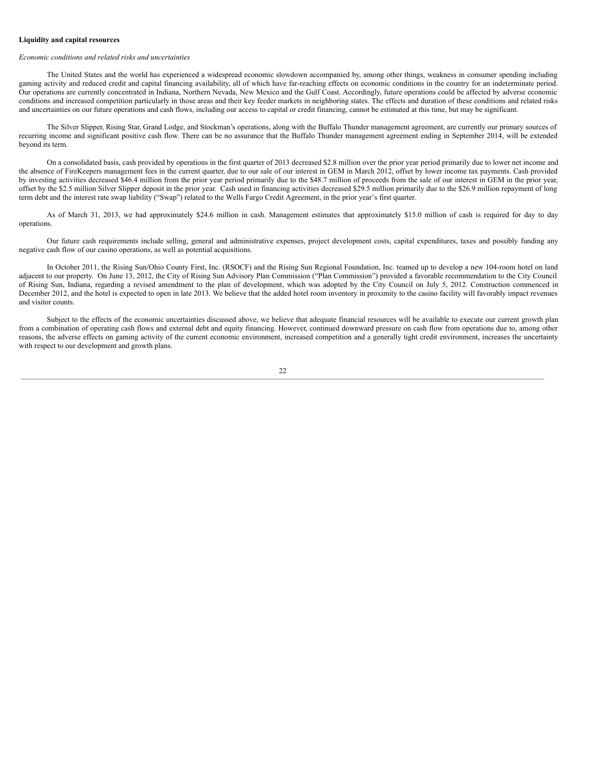#### **Liquidity and capital resources**

#### *Economic conditions and related risks and uncertainties*

The United States and the world has experienced a widespread economic slowdown accompanied by, among other things, weakness in consumer spending including gaming activity and reduced credit and capital financing availability, all of which have far-reaching effects on economic conditions in the country for an indeterminate period. Our operations are currently concentrated in Indiana, Northern Nevada, New Mexico and the Gulf Coast. Accordingly, future operations could be affected by adverse economic conditions and increased competition particularly in those areas and their key feeder markets in neighboring states. The effects and duration of these conditions and related risks and uncertainties on our future operations and cash flows, including our access to capital or credit financing, cannot be estimated at this time, but may be significant.

The Silver Slipper, Rising Star, Grand Lodge, and Stockman's operations, along with the Buffalo Thunder management agreement, are currently our primary sources of recurring income and significant positive cash flow. There can be no assurance that the Buffalo Thunder management agreement ending in September 2014, will be extended beyond its term.

On a consolidated basis, cash provided by operations in the first quarter of 2013 decreased \$2.8 million over the prior year period primarily due to lower net income and the absence of FireKeepers management fees in the current quarter, due to our sale of our interest in GEM in March 2012, offset by lower income tax payments. Cash provided by investing activities decreased \$46.4 million from the prior year period primarily due to the \$48.7 million of proceeds from the sale of our interest in GEM in the prior year, offset by the \$2.5 million Silver Slipper deposit in the prior year. Cash used in financing activities decreased \$29.5 million primarily due to the \$26.9 million repayment of long term debt and the interest rate swap liability ("Swap") related to the Wells Fargo Credit Agreement, in the prior year's first quarter.

As of March 31, 2013, we had approximately \$24.6 million in cash. Management estimates that approximately \$15.0 million of cash is required for day to day operations.

Our future cash requirements include selling, general and administrative expenses, project development costs, capital expenditures, taxes and possibly funding any negative cash flow of our casino operations, as well as potential acquisitions.

In October 2011, the Rising Sun/Ohio County First, Inc. (RSOCF) and the Rising Sun Regional Foundation, Inc. teamed up to develop a new 104-room hotel on land adjacent to our property. On June 13, 2012, the City of Rising Sun Advisory Plan Commission ("Plan Commission") provided a favorable recommendation to the City Council of Rising Sun, Indiana, regarding a revised amendment to the plan of development, which was adopted by the City Council on July 5, 2012. Construction commenced in December 2012, and the hotel is expected to open in late 2013. We believe that the added hotel room inventory in proximity to the casino facility will favorably impact revenues and visitor counts.

Subject to the effects of the economic uncertainties discussed above, we believe that adequate financial resources will be available to execute our current growth plan from a combination of operating cash flows and external debt and equity financing. However, continued downward pressure on cash flow from operations due to, among other reasons, the adverse effects on gaming activity of the current economic environment, increased competition and a generally tight credit environment, increases the uncertainty with respect to our development and growth plans.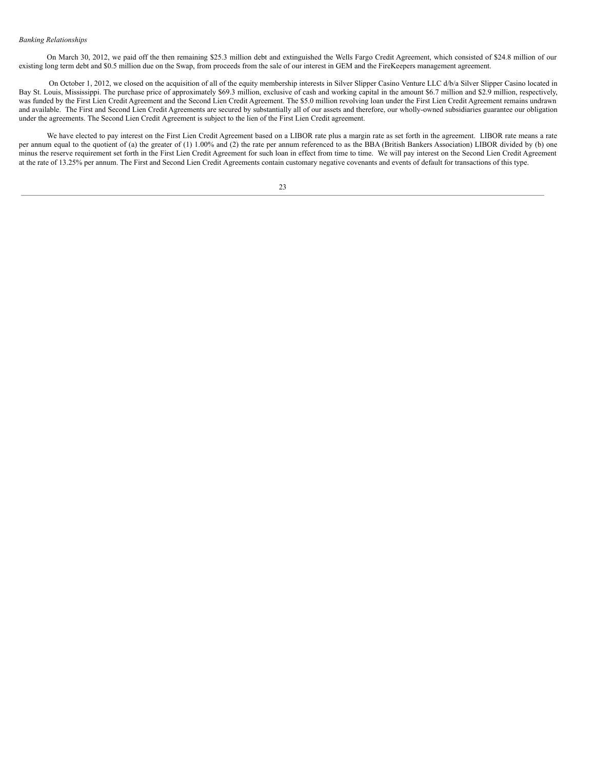#### *Banking Relationships*

On March 30, 2012, we paid off the then remaining \$25.3 million debt and extinguished the Wells Fargo Credit Agreement, which consisted of \$24.8 million of our existing long term debt and \$0.5 million due on the Swap, from proceeds from the sale of our interest in GEM and the FireKeepers management agreement.

On October 1, 2012, we closed on the acquisition of all of the equity membership interests in Silver Slipper Casino Venture LLC d/b/a Silver Slipper Casino located in Bay St. Louis, Mississippi. The purchase price of approximately \$69.3 million, exclusive of cash and working capital in the amount \$6.7 million and \$2.9 million, respectively, was funded by the First Lien Credit Agreement and the Second Lien Credit Agreement. The \$5.0 million revolving loan under the First Lien Credit Agreement remains undrawn and available. The First and Second Lien Credit Agreements are secured by substantially all of our assets and therefore, our wholly-owned subsidiaries guarantee our obligation under the agreements. The Second Lien Credit Agreement is subject to the lien of the First Lien Credit agreement.

We have elected to pay interest on the First Lien Credit Agreement based on a LIBOR rate plus a margin rate as set forth in the agreement. LIBOR rate means a rate per annum equal to the quotient of (a) the greater of (1) 1.00% and (2) the rate per annum referenced to as the BBA (British Bankers Association) LIBOR divided by (b) one minus the reserve requirement set forth in the First Lien Credit Agreement for such loan in effect from time to time. We will pay interest on the Second Lien Credit Agreement at the rate of 13.25% per annum. The First and Second Lien Credit Agreements contain customary negative covenants and events of default for transactions of this type.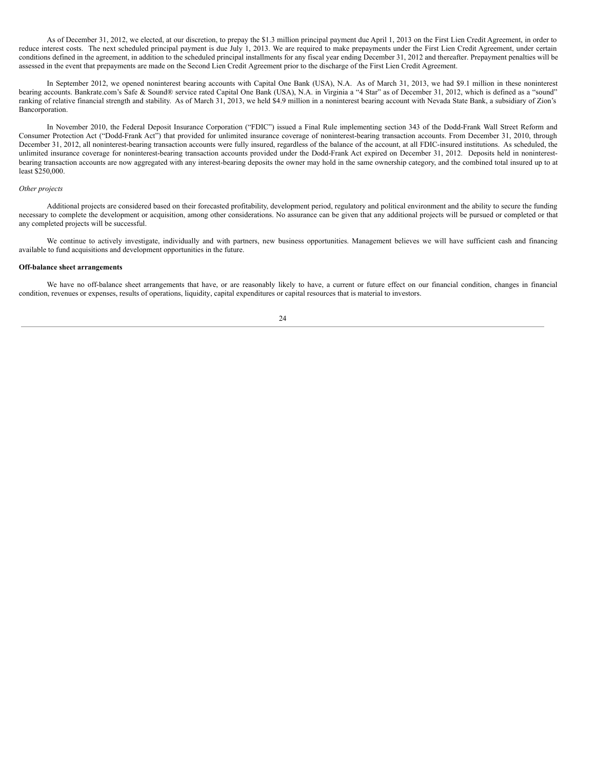As of December 31, 2012, we elected, at our discretion, to prepay the \$1.3 million principal payment due April 1, 2013 on the First Lien Credit Agreement, in order to reduce interest costs. The next scheduled principal payment is due July 1, 2013. We are required to make prepayments under the First Lien Credit Agreement, under certain conditions defined in the agreement, in addition to the scheduled principal installments for any fiscal year ending December 31, 2012 and thereafter. Prepayment penalties will be assessed in the event that prepayments are made on the Second Lien Credit Agreement prior to the discharge of the First Lien Credit Agreement.

In September 2012, we opened noninterest bearing accounts with Capital One Bank (USA), N.A. As of March 31, 2013, we had \$9.1 million in these noninterest bearing accounts. Bankrate.com's Safe & Sound® service rated Capital One Bank (USA), N.A. in Virginia a "4 Star" as of December 31, 2012, which is defined as a "sound" ranking of relative financial strength and stability. As of March 31, 2013, we held \$4.9 million in a noninterest bearing account with Nevada State Bank, a subsidiary of Zion's Bancorporation.

In November 2010, the Federal Deposit Insurance Corporation ("FDIC") issued a Final Rule implementing section 343 of the Dodd-Frank Wall Street Reform and Consumer Protection Act ("Dodd-Frank Act") that provided for unlimited insurance coverage of noninterest-bearing transaction accounts. From December 31, 2010, through December 31, 2012, all noninterest-bearing transaction accounts were fully insured, regardless of the balance of the account, at all FDIC-insured institutions. As scheduled, the unlimited insurance coverage for noninterest-bearing transaction accounts provided under the Dodd-Frank Act expired on December 31, 2012. Deposits held in noninterestbearing transaction accounts are now aggregated with any interest-bearing deposits the owner may hold in the same ownership category, and the combined total insured up to at least \$250,000.

#### *Other projects*

Additional projects are considered based on their forecasted profitability, development period, regulatory and political environment and the ability to secure the funding necessary to complete the development or acquisition, among other considerations. No assurance can be given that any additional projects will be pursued or completed or that any completed projects will be successful.

We continue to actively investigate, individually and with partners, new business opportunities. Management believes we will have sufficient cash and financing available to fund acquisitions and development opportunities in the future.

## **Off-balance sheet arrangements**

We have no off-balance sheet arrangements that have, or are reasonably likely to have, a current or future effect on our financial condition, changes in financial condition, revenues or expenses, results of operations, liquidity, capital expenditures or capital resources that is material to investors.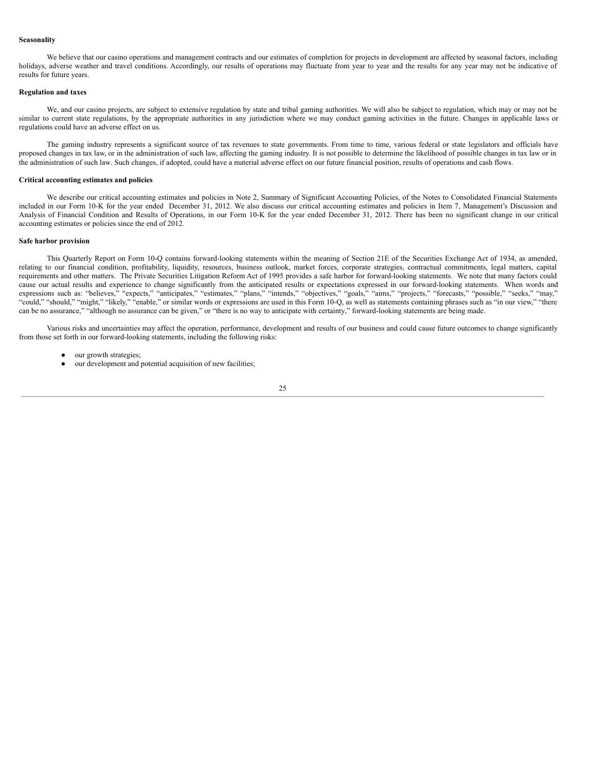#### **Seasonality**

We believe that our casino operations and management contracts and our estimates of completion for projects in development are affected by seasonal factors, including holidays, adverse weather and travel conditions. Accordingly, our results of operations may fluctuate from year to year and the results for any year may not be indicative of results for future years.

## **Regulation and taxes**

We, and our casino projects, are subject to extensive regulation by state and tribal gaming authorities. We will also be subject to regulation, which may or may not be similar to current state regulations, by the appropriate authorities in any jurisdiction where we may conduct gaming activities in the future. Changes in applicable laws or regulations could have an adverse effect on us.

The gaming industry represents a significant source of tax revenues to state governments. From time to time, various federal or state legislators and officials have proposed changes in tax law, or in the administration of such law, affecting the gaming industry. It is not possible to determine the likelihood of possible changes in tax law or in the administration of such law. Such changes, if adopted, could have a material adverse effect on our future financial position, results of operations and cash flows.

## **Critical accounting estimates and policies**

We describe our critical accounting estimates and policies in Note 2, Summary of Significant Accounting Policies, of the Notes to Consolidated Financial Statements included in our Form 10-K for the year ended December 31, 2012. We also discuss our critical accounting estimates and policies in Item 7, Management's Discussion and Analysis of Financial Condition and Results of Operations, in our Form 10-K for the year ended December 31, 2012. There has been no significant change in our critical accounting estimates or policies since the end of 2012.

#### **Safe harbor provision**

This Quarterly Report on Form 10-Q contains forward-looking statements within the meaning of Section 21E of the Securities Exchange Act of 1934, as amended, relating to our financial condition, profitability, liquidity, resources, business outlook, market forces, corporate strategies, contractual commitments, legal matters, capital requirements and other matters. The Private Securities Litigation Reform Act of 1995 provides a safe harbor for forward-looking statements. We note that many factors could cause our actual results and experience to change significantly from the anticipated results or expectations expressed in our forward-looking statements. When words and expressions such as: "believes," "expects," "anticipates," "estimates," "plans," "intends," "objectives," "goals," "aims," "projects," "forecasts," "possible," "seeks," "may," "could," "should," "might," "likely," "enable," or similar words or expressions are used in this Form 10-Q, as well as statements containing phrases such as "in our view," "there can be no assurance," "although no assurance can be given," or "there is no way to anticipate with certainty," forward-looking statements are being made.

Various risks and uncertainties may affect the operation, performance, development and results of our business and could cause future outcomes to change significantly from those set forth in our forward-looking statements, including the following risks:

- our growth strategies:
- our development and potential acquisition of new facilities;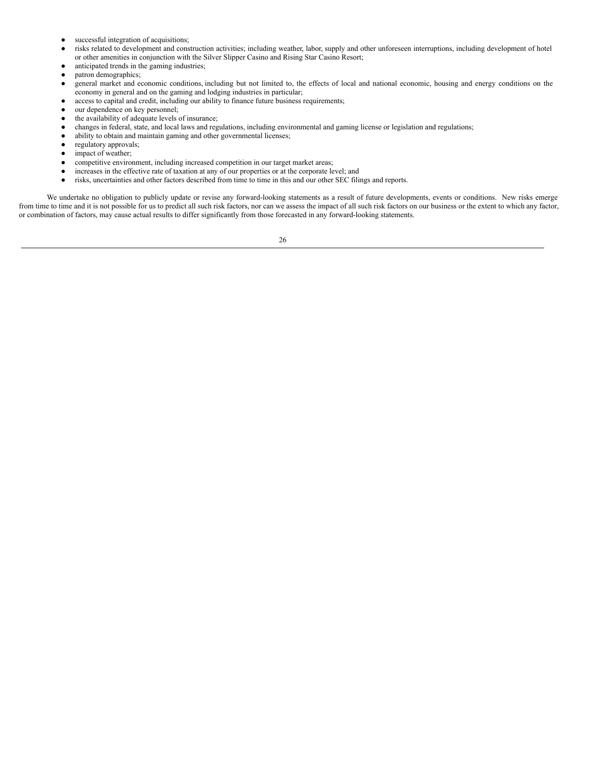- successful integration of acquisitions;
- risks related to development and construction activities; including weather, labor, supply and other unforeseen interruptions, including development of hotel or other amenities in conjunction with the Silver Slipper Casino and Rising Star Casino Resort;
- anticipated trends in the gaming industries;
- patron demographics;
- general market and economic conditions, including but not limited to, the effects of local and national economic, housing and energy conditions on the economy in general and on the gaming and lodging industries in particular;
- access to capital and credit, including our ability to finance future business requirements;
- our dependence on key personnel;
- the availability of adequate levels of insurance;
- changes in federal, state, and local laws and regulations, including environmental and gaming license or legislation and regulations;
- ability to obtain and maintain gaming and other governmental licenses;
- regulatory approvals;
- impact of weather;
- competitive environment, including increased competition in our target market areas;
- increases in the effective rate of taxation at any of our properties or at the corporate level; and
- risks, uncertainties and other factors described from time to time in this and our other SEC filings and reports.

We undertake no obligation to publicly update or revise any forward-looking statements as a result of future developments, events or conditions. New risks emerge from time to time and it is not possible for us to predict all such risk factors, nor can we assess the impact of all such risk factors on our business or the extent to which any factor, or combination of factors, may cause actual results to differ significantly from those forecasted in any forward-looking statements.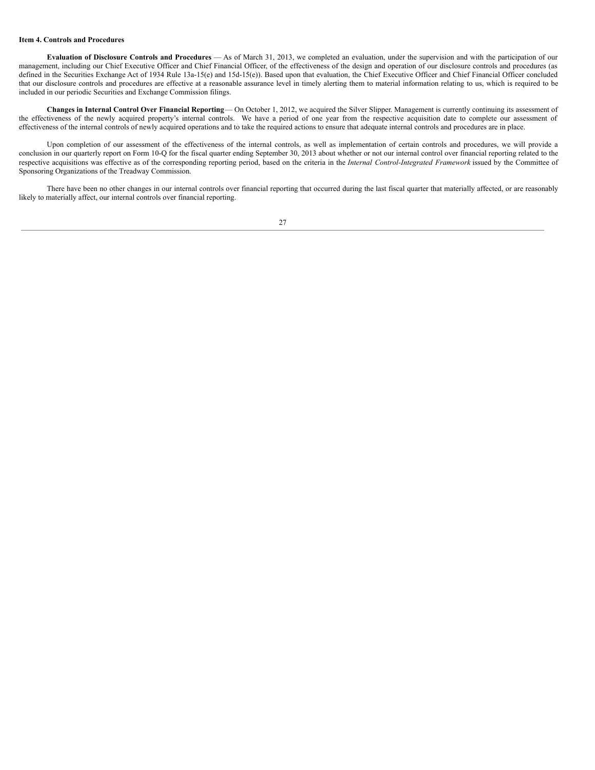#### **Item 4. Controls and Procedures**

**Evaluation of Disclosure Controls and Procedures** — As of March 31, 2013, we completed an evaluation, under the supervision and with the participation of our management, including our Chief Executive Officer and Chief Financial Officer, of the effectiveness of the design and operation of our disclosure controls and procedures (as defined in the Securities Exchange Act of 1934 Rule 13a-15(e) and 15d-15(e)). Based upon that evaluation, the Chief Executive Officer and Chief Financial Officer concluded that our disclosure controls and procedures are effective at a reasonable assurance level in timely alerting them to material information relating to us, which is required to be included in our periodic Securities and Exchange Commission filings.

**Changes in Internal Control Over Financial Reporting**— On October 1, 2012, we acquired the Silver Slipper. Management is currently continuing its assessment of the effectiveness of the newly acquired property's internal controls. We have a period of one year from the respective acquisition date to complete our assessment of effectiveness of the internal controls of newly acquired operations and to take the required actions to ensure that adequate internal controls and procedures are in place.

Upon completion of our assessment of the effectiveness of the internal controls, as well as implementation of certain controls and procedures, we will provide a conclusion in our quarterly report on Form 10-Q for the fiscal quarter ending September 30, 2013 about whether or not our internal control over financial reporting related to the respective acquisitions was effective as of the corresponding reporting period, based on the criteria in the *Internal Control-Integrated Framework* issued by the Committee of Sponsoring Organizations of the Treadway Commission.

There have been no other changes in our internal controls over financial reporting that occurred during the last fiscal quarter that materially affected, or are reasonably likely to materially affect, our internal controls over financial reporting.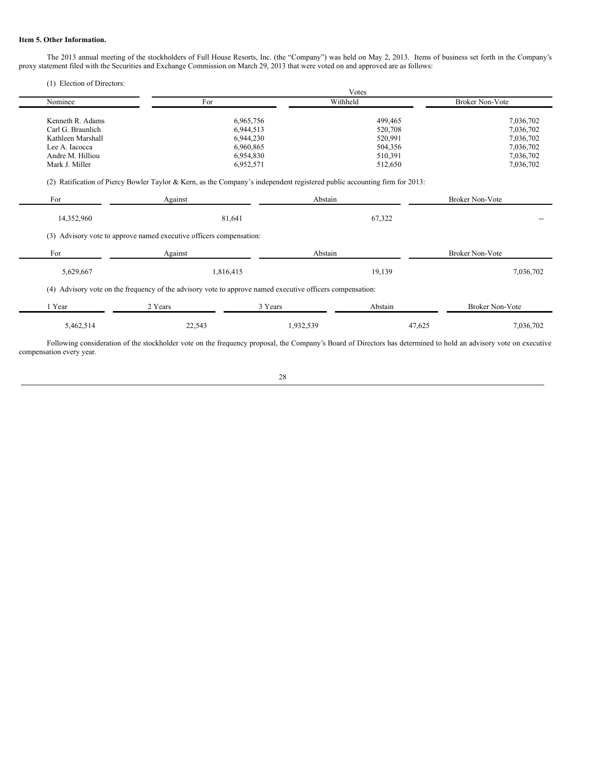## **Item 5. Other Information.**

The 2013 annual meeting of the stockholders of Full House Resorts, Inc. (the "Company") was held on May 2, 2013. Items of business set forth in the Company's proxy statement filed with the Securities and Exchange Commission on March 29, 2013 that were voted on and approved are as follows:

(1) Election of Directors:

|                   | Votes     |          |                        |  |  |  |  |  |
|-------------------|-----------|----------|------------------------|--|--|--|--|--|
| Nominee           | For       | Withheld | <b>Broker Non-Vote</b> |  |  |  |  |  |
| Kenneth R. Adams  | 6,965,756 | 499,465  | 7,036,702              |  |  |  |  |  |
| Carl G. Braunlich | 6,944,513 | 520,708  | 7,036,702              |  |  |  |  |  |
| Kathleen Marshall | 6,944,230 | 520,991  | 7,036,702              |  |  |  |  |  |
| Lee A. Iacocca    | 6,960,865 | 504,356  | 7,036,702              |  |  |  |  |  |
| Andre M. Hilliou  | 6,954,830 | 510,391  | 7,036,702              |  |  |  |  |  |
| Mark J. Miller    | 6,952,571 | 512,650  | 7,036,702              |  |  |  |  |  |

(2) Ratification of Piercy Bowler Taylor & Kern, as the Company's independent registered public accounting firm for 2013:

| For        | Against                                                                                                   | Abstain   |         | <b>Broker Non-Vote</b> |  |  |
|------------|-----------------------------------------------------------------------------------------------------------|-----------|---------|------------------------|--|--|
| 14,352,960 | 81,641                                                                                                    |           | 67,322  |                        |  |  |
|            | (3) Advisory vote to approve named executive officers compensation:                                       |           |         |                        |  |  |
| For        | Against                                                                                                   | Abstain   |         | <b>Broker Non-Vote</b> |  |  |
| 5,629,667  | 1,816,415                                                                                                 |           | 19,139  | 7,036,702              |  |  |
|            | (4) Advisory vote on the frequency of the advisory vote to approve named executive officers compensation: |           |         |                        |  |  |
| 1 Year     | 2 Years                                                                                                   | 3 Years   | Abstain | <b>Broker Non-Vote</b> |  |  |
| 5,462,514  | 22,543                                                                                                    | 1,932,539 | 47,625  | 7,036,702              |  |  |

Following consideration of the stockholder vote on the frequency proposal, the Company's Board of Directors has determined to hold an advisory vote on executive compensation every year.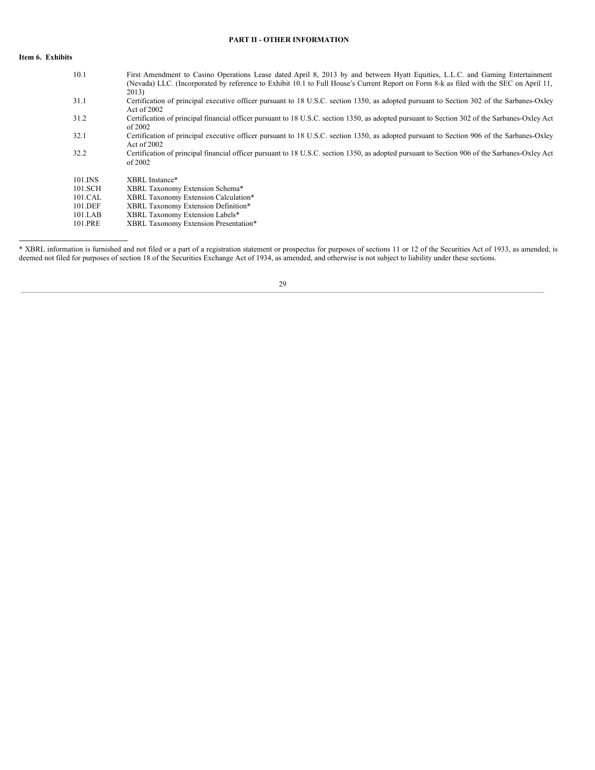## **PART II - OTHER INFORMATION**

## **Item 6. Exhibits**

| 10.1    | First Amendment to Casino Operations Lease dated April 8, 2013 by and between Hyatt Equities, L.L.C. and Gaming Entertainment<br>(Nevada) LLC. (Incorporated by reference to Exhibit 10.1 to Full House's Current Report on Form 8-k as filed with the SEC on April 11,<br>2013) |
|---------|----------------------------------------------------------------------------------------------------------------------------------------------------------------------------------------------------------------------------------------------------------------------------------|
| 31.1    | Certification of principal executive officer pursuant to 18 U.S.C. section 1350, as adopted pursuant to Section 302 of the Sarbanes-Oxley<br>Act of 2002                                                                                                                         |
| 31.2    | Certification of principal financial officer pursuant to 18 U.S.C. section 1350, as adopted pursuant to Section 302 of the Sarbanes-Oxley Act<br>of 2002                                                                                                                         |
| 32.1    | Certification of principal executive officer pursuant to 18 U.S.C. section 1350, as adopted pursuant to Section 906 of the Sarbanes-Oxley<br>Act of 2002                                                                                                                         |
| 32.2    | Certification of principal financial officer pursuant to 18 U.S.C. section 1350, as adopted pursuant to Section 906 of the Sarbanes-Oxley Act<br>of 2002                                                                                                                         |
| 101.INS | XBRL Instance*                                                                                                                                                                                                                                                                   |
| 101.SCH | XBRL Taxonomy Extension Schema*                                                                                                                                                                                                                                                  |
| 101.CAL | XBRL Taxonomy Extension Calculation*                                                                                                                                                                                                                                             |
| 101.DEF | XBRL Taxonomy Extension Definition*                                                                                                                                                                                                                                              |
| 101.LAB | XBRL Taxonomy Extension Labels*                                                                                                                                                                                                                                                  |
| 101.PRE | XBRL Taxonomy Extension Presentation*                                                                                                                                                                                                                                            |

\* XBRL information is furnished and not filed or a part of a registration statement or prospectus for purposes of sections 11 or 12 of the Securities Act of 1933, as amended, is deemed not filed for purposes of section 18 of the Securities Exchange Act of 1934, as amended, and otherwise is not subject to liability under these sections.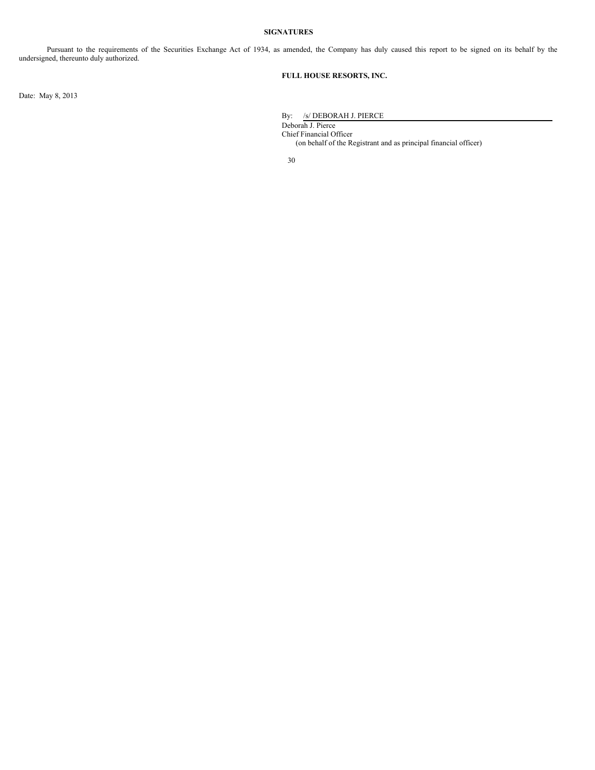## **SIGNATURES**

Pursuant to the requirements of the Securities Exchange Act of 1934, as amended, the Company has duly caused this report to be signed on its behalf by the undersigned, thereunto duly authorized.

## **FULL HOUSE RESORTS, INC.**

Date: May 8, 2013

By: /s/ DEBORAH J. PIERCE

Deborah J. Pierce Chief Financial Officer (on behalf of the Registrant and as principal financial officer)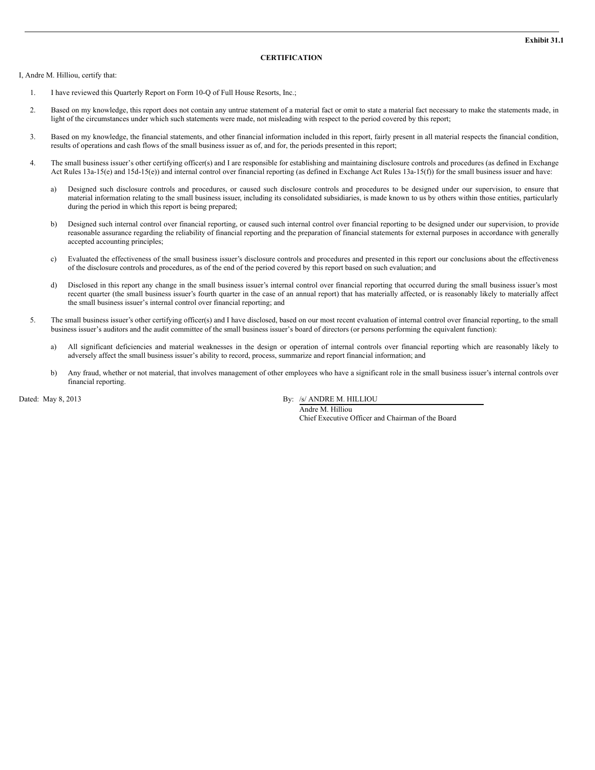## **CERTIFICATION**

I, Andre M. Hilliou, certify that:

- 1. I have reviewed this Quarterly Report on Form 10-Q of Full House Resorts, Inc.;
- 2. Based on my knowledge, this report does not contain any untrue statement of a material fact or omit to state a material fact necessary to make the statements made, in light of the circumstances under which such statements were made, not misleading with respect to the period covered by this report;
- 3. Based on my knowledge, the financial statements, and other financial information included in this report, fairly present in all material respects the financial condition, results of operations and cash flows of the small business issuer as of, and for, the periods presented in this report;
- 4. The small business issuer's other certifying officer(s) and I are responsible for establishing and maintaining disclosure controls and procedures (as defined in Exchange Act Rules 13a-15(e) and 15d-15(e)) and internal control over financial reporting (as defined in Exchange Act Rules 13a-15(f)) for the small business issuer and have:
	- a) Designed such disclosure controls and procedures, or caused such disclosure controls and procedures to be designed under our supervision, to ensure that material information relating to the small business issuer, including its consolidated subsidiaries, is made known to us by others within those entities, particularly during the period in which this report is being prepared;
	- b) Designed such internal control over financial reporting, or caused such internal control over financial reporting to be designed under our supervision, to provide reasonable assurance regarding the reliability of financial reporting and the preparation of financial statements for external purposes in accordance with generally accepted accounting principles;
	- c) Evaluated the effectiveness of the small business issuer's disclosure controls and procedures and presented in this report our conclusions about the effectiveness of the disclosure controls and procedures, as of the end of the period covered by this report based on such evaluation; and
	- d) Disclosed in this report any change in the small business issuer's internal control over financial reporting that occurred during the small business issuer's most recent quarter (the small business issuer's fourth quarter in the case of an annual report) that has materially affected, or is reasonably likely to materially affect the small business issuer's internal control over financial reporting; and
- 5. The small business issuer's other certifying officer(s) and I have disclosed, based on our most recent evaluation of internal control over financial reporting, to the small business issuer's auditors and the audit committee of the small business issuer's board of directors (or persons performing the equivalent function):
	- a) All significant deficiencies and material weaknesses in the design or operation of internal controls over financial reporting which are reasonably likely to adversely affect the small business issuer's ability to record, process, summarize and report financial information; and
	- b) Any fraud, whether or not material, that involves management of other employees who have a significant role in the small business issuer's internal controls over financial reporting.

Dated: May 8, 2013 By: /s/ ANDRE M. HILLIOU

Andre M. Hilliou Chief Executive Officer and Chairman of the Board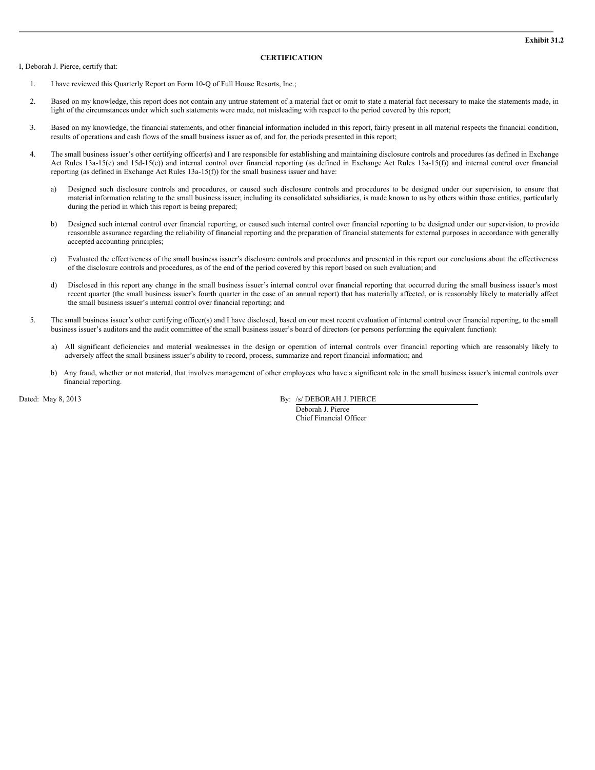## **CERTIFICATION**

I, Deborah J. Pierce, certify that:

- 1. I have reviewed this Quarterly Report on Form 10-Q of Full House Resorts, Inc.;
- 2. Based on my knowledge, this report does not contain any untrue statement of a material fact or omit to state a material fact necessary to make the statements made, in light of the circumstances under which such statements were made, not misleading with respect to the period covered by this report;
- 3. Based on my knowledge, the financial statements, and other financial information included in this report, fairly present in all material respects the financial condition, results of operations and cash flows of the small business issuer as of, and for, the periods presented in this report;
- 4. The small business issuer's other certifying officer(s) and I are responsible for establishing and maintaining disclosure controls and procedures (as defined in Exchange Act Rules 13a-15(e) and 15d-15(e)) and internal control over financial reporting (as defined in Exchange Act Rules 13a-15(f)) and internal control over financial reporting (as defined in Exchange Act Rules 13a-15(f)) for the small business issuer and have:
	- a) Designed such disclosure controls and procedures, or caused such disclosure controls and procedures to be designed under our supervision, to ensure that material information relating to the small business issuer, including its consolidated subsidiaries, is made known to us by others within those entities, particularly during the period in which this report is being prepared;
	- b) Designed such internal control over financial reporting, or caused such internal control over financial reporting to be designed under our supervision, to provide reasonable assurance regarding the reliability of financial reporting and the preparation of financial statements for external purposes in accordance with generally accepted accounting principles;
	- c) Evaluated the effectiveness of the small business issuer's disclosure controls and procedures and presented in this report our conclusions about the effectiveness of the disclosure controls and procedures, as of the end of the period covered by this report based on such evaluation; and
	- d) Disclosed in this report any change in the small business issuer's internal control over financial reporting that occurred during the small business issuer's most recent quarter (the small business issuer's fourth quarter in the case of an annual report) that has materially affected, or is reasonably likely to materially affect the small business issuer's internal control over financial reporting; and
- 5. The small business issuer's other certifying officer(s) and I have disclosed, based on our most recent evaluation of internal control over financial reporting, to the small business issuer's auditors and the audit committee of the small business issuer's board of directors (or persons performing the equivalent function):
	- a) All significant deficiencies and material weaknesses in the design or operation of internal controls over financial reporting which are reasonably likely to adversely affect the small business issuer's ability to record, process, summarize and report financial information; and
	- b) Any fraud, whether or not material, that involves management of other employees who have a significant role in the small business issuer's internal controls over financial reporting.

Dated: May 8, 2013 By: /s/ DEBORAH J. PIERCE

Deborah J. Pierce Chief Financial Officer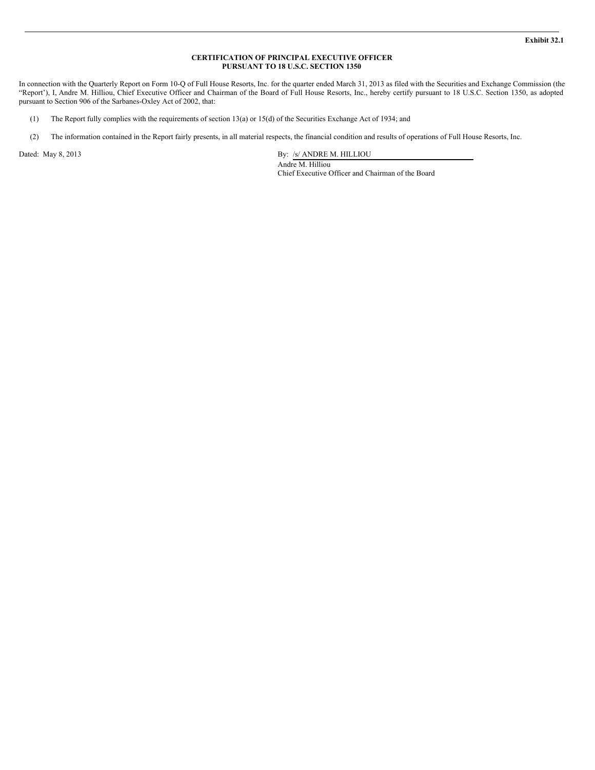## **CERTIFICATION OF PRINCIPAL EXECUTIVE OFFICER PURSUANT TO 18 U.S.C. SECTION 1350**

In connection with the Quarterly Report on Form 10-Q of Full House Resorts, Inc. for the quarter ended March 31, 2013 as filed with the Securities and Exchange Commission (the "Report'), I, Andre M. Hilliou, Chief Executive Officer and Chairman of the Board of Full House Resorts, Inc., hereby certify pursuant to 18 U.S.C. Section 1350, as adopted pursuant to Section 906 of the Sarbanes-Oxley Act of 2002, that:

- (1) The Report fully complies with the requirements of section 13(a) or 15(d) of the Securities Exchange Act of 1934; and
- (2) The information contained in the Report fairly presents, in all material respects, the financial condition and results of operations of Full House Resorts, Inc.

Dated: May 8, 2013 By: /s/ ANDRE M. HILLIOU Andre M. Hilliou Chief Executive Officer and Chairman of the Board